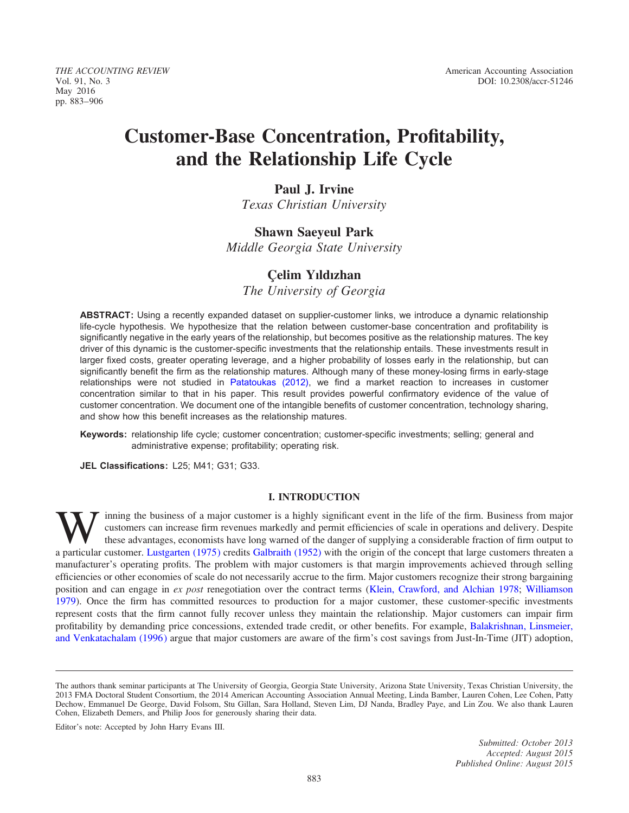THE ACCOUNTING REVIEW American Accounting Association May 2016 pp. 883–906

# Customer-Base Concentration, Profitability, and the Relationship Life Cycle

# Paul J. Irvine

Texas Christian University

# Shawn Saeyeul Park

Middle Georgia State University

# Çelim Yıldızhan

The University of Georgia

ABSTRACT: Using a recently expanded dataset on supplier-customer links, we introduce a dynamic relationship life-cycle hypothesis. We hypothesize that the relation between customer-base concentration and profitability is significantly negative in the early years of the relationship, but becomes positive as the relationship matures. The key driver of this dynamic is the customer-specific investments that the relationship entails. These investments result in larger fixed costs, greater operating leverage, and a higher probability of losses early in the relationship, but can significantly benefit the firm as the relationship matures. Although many of these money-losing firms in early-stage relationships were not studied in [Patatoukas \(2012\)](#page-23-0), we find a market reaction to increases in customer concentration similar to that in his paper. This result provides powerful confirmatory evidence of the value of customer concentration. We document one of the intangible benefits of customer concentration, technology sharing, and show how this benefit increases as the relationship matures.

Keywords: relationship life cycle; customer concentration; customer-specific investments; selling; general and administrative expense; profitability; operating risk.

JEL Classifications: L25; M41; G31; G33.

# I. INTRODUCTION

inning the business of a major customer is a highly significant event in the life of the firm. Business from major customers can increase firm revenues markedly and permit efficiencies of scale in operations and delivery. Despite these advantages, economists have long warned of the danger of supplying a considerable fraction of firm output to a particular customer. [Lustgarten \(1975\)](#page-23-0) credits [Galbraith \(1952\)](#page-23-0) with the origin of the concept that large customers threaten a manufacturer's operating profits. The problem with major customers is that margin improvements achieved through selling efficiencies or other economies of scale do not necessarily accrue to the firm. Major customers recognize their strong bargaining position and can engage in ex post renegotiation over the contract terms [\(Klein, Crawford, and Alchian 1978](#page-23-0); [Williamson](#page-23-0) [1979\)](#page-23-0). Once the firm has committed resources to production for a major customer, these customer-specific investments represent costs that the firm cannot fully recover unless they maintain the relationship. Major customers can impair firm profitability by demanding price concessions, extended trade credit, or other benefits. For example, [Balakrishnan, Linsmeier,](#page-22-0) [and Venkatachalam \(1996\)](#page-22-0) argue that major customers are aware of the firm's cost savings from Just-In-Time (JIT) adoption,

Editor's note: Accepted by John Harry Evans III.

The authors thank seminar participants at The University of Georgia, Georgia State University, Arizona State University, Texas Christian University, the 2013 FMA Doctoral Student Consortium, the 2014 American Accounting Association Annual Meeting, Linda Bamber, Lauren Cohen, Lee Cohen, Patty Dechow, Emmanuel De George, David Folsom, Stu Gillan, Sara Holland, Steven Lim, DJ Nanda, Bradley Paye, and Lin Zou. We also thank Lauren Cohen, Elizabeth Demers, and Philip Joos for generously sharing their data.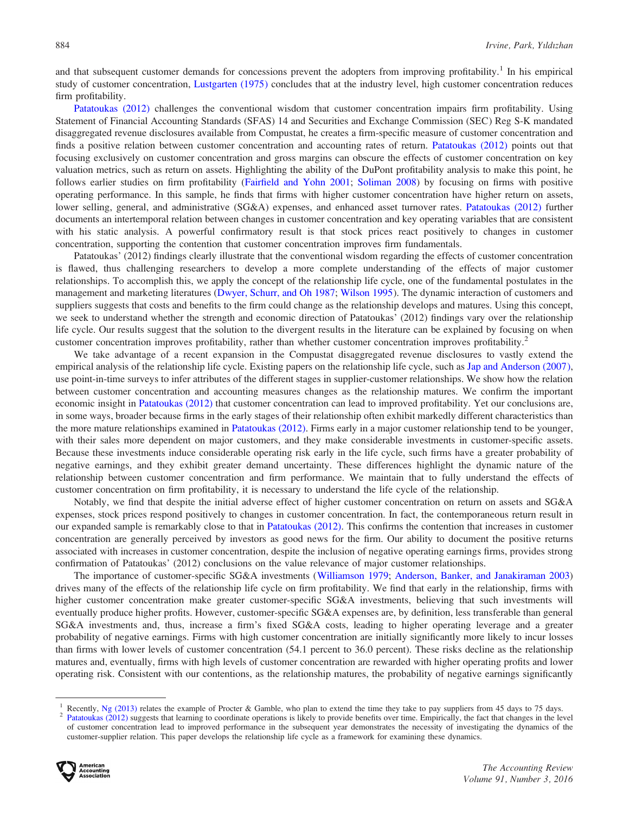and that subsequent customer demands for concessions prevent the adopters from improving profitability.<sup>1</sup> In his empirical study of customer concentration, [Lustgarten \(1975\)](#page-23-0) concludes that at the industry level, high customer concentration reduces firm profitability.

[Patatoukas \(2012\)](#page-23-0) challenges the conventional wisdom that customer concentration impairs firm profitability. Using Statement of Financial Accounting Standards (SFAS) 14 and Securities and Exchange Commission (SEC) Reg S-K mandated disaggregated revenue disclosures available from Compustat, he creates a firm-specific measure of customer concentration and finds a positive relation between customer concentration and accounting rates of return. [Patatoukas \(2012\)](#page-23-0) points out that focusing exclusively on customer concentration and gross margins can obscure the effects of customer concentration on key valuation metrics, such as return on assets. Highlighting the ability of the DuPont profitability analysis to make this point, he follows earlier studies on firm profitability [\(Fairfield and Yohn 2001](#page-23-0); [Soliman 2008\)](#page-23-0) by focusing on firms with positive operating performance. In this sample, he finds that firms with higher customer concentration have higher return on assets, lower selling, general, and administrative (SG&A) expenses, and enhanced asset turnover rates. [Patatoukas \(2012\)](#page-23-0) further documents an intertemporal relation between changes in customer concentration and key operating variables that are consistent with his static analysis. A powerful confirmatory result is that stock prices react positively to changes in customer concentration, supporting the contention that customer concentration improves firm fundamentals.

Patatoukas' (2012) findings clearly illustrate that the conventional wisdom regarding the effects of customer concentration is flawed, thus challenging researchers to develop a more complete understanding of the effects of major customer relationships. To accomplish this, we apply the concept of the relationship life cycle, one of the fundamental postulates in the management and marketing literatures [\(Dwyer, Schurr, and Oh 1987](#page-23-0); [Wilson 1995](#page-23-0)). The dynamic interaction of customers and suppliers suggests that costs and benefits to the firm could change as the relationship develops and matures. Using this concept, we seek to understand whether the strength and economic direction of Patatoukas' (2012) findings vary over the relationship life cycle. Our results suggest that the solution to the divergent results in the literature can be explained by focusing on when customer concentration improves profitability, rather than whether customer concentration improves profitability.<sup>2</sup>

We take advantage of a recent expansion in the Compustat disaggregated revenue disclosures to vastly extend the empirical analysis of the relationship life cycle. Existing papers on the relationship life cycle, such as [Jap and Anderson \(2007\),](#page-23-0) use point-in-time surveys to infer attributes of the different stages in supplier-customer relationships. We show how the relation between customer concentration and accounting measures changes as the relationship matures. We confirm the important economic insight in [Patatoukas \(2012\)](#page-23-0) that customer concentration can lead to improved profitability. Yet our conclusions are, in some ways, broader because firms in the early stages of their relationship often exhibit markedly different characteristics than the more mature relationships examined in [Patatoukas \(2012\).](#page-23-0) Firms early in a major customer relationship tend to be younger, with their sales more dependent on major customers, and they make considerable investments in customer-specific assets. Because these investments induce considerable operating risk early in the life cycle, such firms have a greater probability of negative earnings, and they exhibit greater demand uncertainty. These differences highlight the dynamic nature of the relationship between customer concentration and firm performance. We maintain that to fully understand the effects of customer concentration on firm profitability, it is necessary to understand the life cycle of the relationship.

Notably, we find that despite the initial adverse effect of higher customer concentration on return on assets and SG&A expenses, stock prices respond positively to changes in customer concentration. In fact, the contemporaneous return result in our expanded sample is remarkably close to that in [Patatoukas \(2012\)](#page-23-0). This confirms the contention that increases in customer concentration are generally perceived by investors as good news for the firm. Our ability to document the positive returns associated with increases in customer concentration, despite the inclusion of negative operating earnings firms, provides strong confirmation of Patatoukas' (2012) conclusions on the value relevance of major customer relationships.

The importance of customer-specific SG&A investments [\(Williamson 1979](#page-23-0); [Anderson, Banker, and Janakiraman 2003\)](#page-22-0) drives many of the effects of the relationship life cycle on firm profitability. We find that early in the relationship, firms with higher customer concentration make greater customer-specific SG&A investments, believing that such investments will eventually produce higher profits. However, customer-specific SG&A expenses are, by definition, less transferable than general SG&A investments and, thus, increase a firm's fixed SG&A costs, leading to higher operating leverage and a greater probability of negative earnings. Firms with high customer concentration are initially significantly more likely to incur losses than firms with lower levels of customer concentration (54.1 percent to 36.0 percent). These risks decline as the relationship matures and, eventually, firms with high levels of customer concentration are rewarded with higher operating profits and lower operating risk. Consistent with our contentions, as the relationship matures, the probability of negative earnings significantly

of customer concentration lead to improved performance in the subsequent year demonstrates the necessity of investigating the dynamics of the customer-supplier relation. This paper develops the relationship life cycle as a framework for examining these dynamics.



Recently, [Ng \(2013\)](#page-23-0) relates the example of Procter & Gamble, who plan to extend the time they take to pay suppliers from 45 days to 75 days.<br>[Patatoukas \(2012\)](#page-23-0) suggests that learning to coordinate operations is likely to pr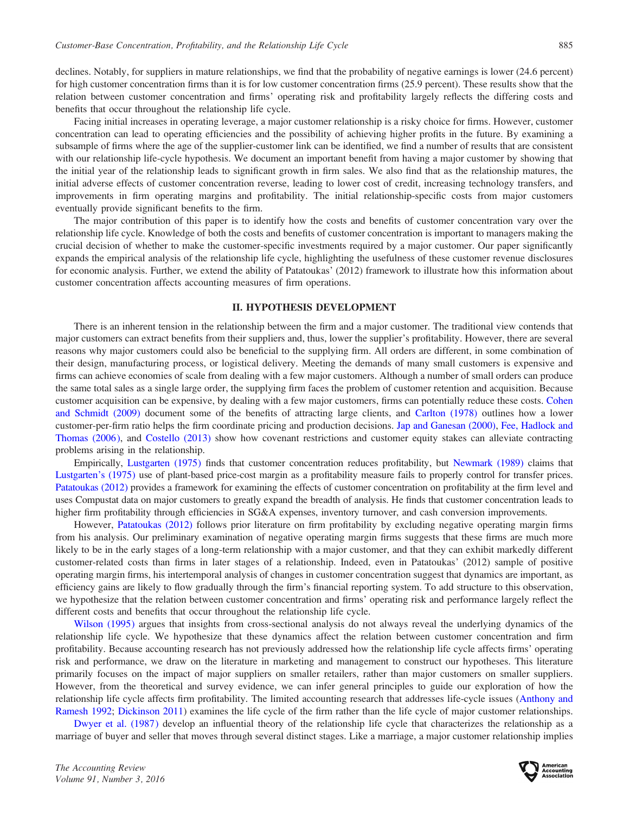declines. Notably, for suppliers in mature relationships, we find that the probability of negative earnings is lower (24.6 percent) for high customer concentration firms than it is for low customer concentration firms (25.9 percent). These results show that the relation between customer concentration and firms' operating risk and profitability largely reflects the differing costs and benefits that occur throughout the relationship life cycle.

Facing initial increases in operating leverage, a major customer relationship is a risky choice for firms. However, customer concentration can lead to operating efficiencies and the possibility of achieving higher profits in the future. By examining a subsample of firms where the age of the supplier-customer link can be identified, we find a number of results that are consistent with our relationship life-cycle hypothesis. We document an important benefit from having a major customer by showing that the initial year of the relationship leads to significant growth in firm sales. We also find that as the relationship matures, the initial adverse effects of customer concentration reverse, leading to lower cost of credit, increasing technology transfers, and improvements in firm operating margins and profitability. The initial relationship-specific costs from major customers eventually provide significant benefits to the firm.

The major contribution of this paper is to identify how the costs and benefits of customer concentration vary over the relationship life cycle. Knowledge of both the costs and benefits of customer concentration is important to managers making the crucial decision of whether to make the customer-specific investments required by a major customer. Our paper significantly expands the empirical analysis of the relationship life cycle, highlighting the usefulness of these customer revenue disclosures for economic analysis. Further, we extend the ability of Patatoukas' (2012) framework to illustrate how this information about customer concentration affects accounting measures of firm operations.

#### II. HYPOTHESIS DEVELOPMENT

There is an inherent tension in the relationship between the firm and a major customer. The traditional view contends that major customers can extract benefits from their suppliers and, thus, lower the supplier's profitability. However, there are several reasons why major customers could also be beneficial to the supplying firm. All orders are different, in some combination of their design, manufacturing process, or logistical delivery. Meeting the demands of many small customers is expensive and firms can achieve economies of scale from dealing with a few major customers. Although a number of small orders can produce the same total sales as a single large order, the supplying firm faces the problem of customer retention and acquisition. Because customer acquisition can be expensive, by dealing with a few major customers, firms can potentially reduce these costs. [Cohen](#page-23-0) [and Schmidt \(2009\)](#page-23-0) document some of the benefits of attracting large clients, and [Carlton \(1978\)](#page-23-0) outlines how a lower customer-per-firm ratio helps the firm coordinate pricing and production decisions. [Jap and Ganesan \(2000\),](#page-23-0) [Fee, Hadlock and](#page-23-0) [Thomas \(2006\)](#page-23-0), and [Costello \(2013\)](#page-23-0) show how covenant restrictions and customer equity stakes can alleviate contracting problems arising in the relationship.

Empirically, [Lustgarten \(1975\)](#page-23-0) finds that customer concentration reduces profitability, but [Newmark \(1989\)](#page-23-0) claims that [Lustgarten's \(1975\)](#page-23-0) use of plant-based price-cost margin as a profitability measure fails to properly control for transfer prices. [Patatoukas \(2012\)](#page-23-0) provides a framework for examining the effects of customer concentration on profitability at the firm level and uses Compustat data on major customers to greatly expand the breadth of analysis. He finds that customer concentration leads to higher firm profitability through efficiencies in SG&A expenses, inventory turnover, and cash conversion improvements.

However, [Patatoukas \(2012\)](#page-23-0) follows prior literature on firm profitability by excluding negative operating margin firms from his analysis. Our preliminary examination of negative operating margin firms suggests that these firms are much more likely to be in the early stages of a long-term relationship with a major customer, and that they can exhibit markedly different customer-related costs than firms in later stages of a relationship. Indeed, even in Patatoukas' (2012) sample of positive operating margin firms, his intertemporal analysis of changes in customer concentration suggest that dynamics are important, as efficiency gains are likely to flow gradually through the firm's financial reporting system. To add structure to this observation, we hypothesize that the relation between customer concentration and firms' operating risk and performance largely reflect the different costs and benefits that occur throughout the relationship life cycle.

[Wilson \(1995\)](#page-23-0) argues that insights from cross-sectional analysis do not always reveal the underlying dynamics of the relationship life cycle. We hypothesize that these dynamics affect the relation between customer concentration and firm profitability. Because accounting research has not previously addressed how the relationship life cycle affects firms' operating risk and performance, we draw on the literature in marketing and management to construct our hypotheses. This literature primarily focuses on the impact of major suppliers on smaller retailers, rather than major customers on smaller suppliers. However, from the theoretical and survey evidence, we can infer general principles to guide our exploration of how the relationship life cycle affects firm profitability. The limited accounting research that addresses life-cycle issues ([Anthony and](#page-22-0) [Ramesh 1992](#page-22-0); [Dickinson 2011\)](#page-23-0) examines the life cycle of the firm rather than the life cycle of major customer relationships.

[Dwyer et al. \(1987\)](#page-23-0) develop an influential theory of the relationship life cycle that characterizes the relationship as a marriage of buyer and seller that moves through several distinct stages. Like a marriage, a major customer relationship implies

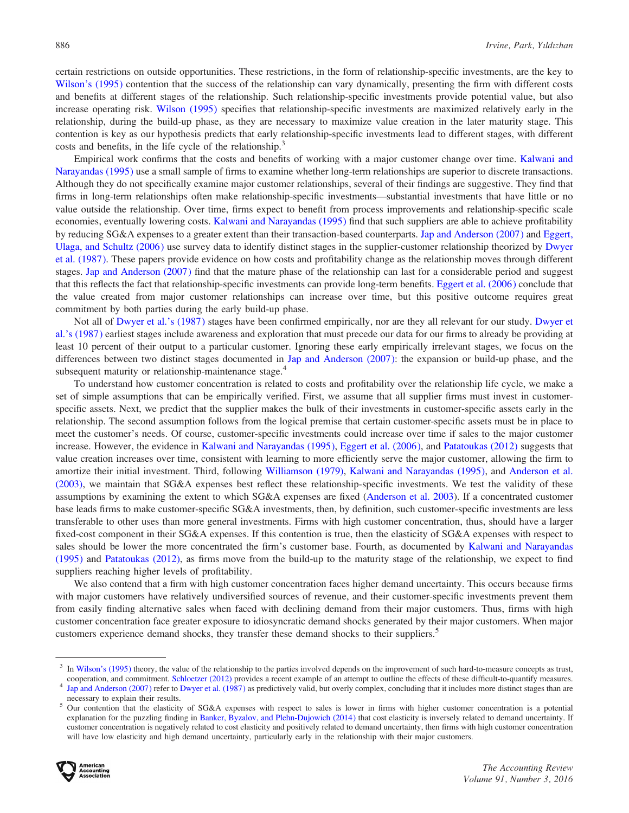certain restrictions on outside opportunities. These restrictions, in the form of relationship-specific investments, are the key to [Wilson's \(1995\)](#page-23-0) contention that the success of the relationship can vary dynamically, presenting the firm with different costs and benefits at different stages of the relationship. Such relationship-specific investments provide potential value, but also increase operating risk. [Wilson \(1995\)](#page-23-0) specifies that relationship-specific investments are maximized relatively early in the relationship, during the build-up phase, as they are necessary to maximize value creation in the later maturity stage. This contention is key as our hypothesis predicts that early relationship-specific investments lead to different stages, with different costs and benefits, in the life cycle of the relationship.<sup>3</sup>

Empirical work confirms that the costs and benefits of working with a major customer change over time. [Kalwani and](#page-23-0) [Narayandas \(1995\)](#page-23-0) use a small sample of firms to examine whether long-term relationships are superior to discrete transactions. Although they do not specifically examine major customer relationships, several of their findings are suggestive. They find that firms in long-term relationships often make relationship-specific investments—substantial investments that have little or no value outside the relationship. Over time, firms expect to benefit from process improvements and relationship-specific scale economies, eventually lowering costs. [Kalwani and Narayandas \(1995\)](#page-23-0) find that such suppliers are able to achieve profitability by reducing SG&A expenses to a greater extent than their transaction-based counterparts. [Jap and Anderson \(2007\)](#page-23-0) and [Eggert,](#page-23-0) [Ulaga, and Schultz \(2006\)](#page-23-0) use survey data to identify distinct stages in the supplier-customer relationship theorized by [Dwyer](#page-23-0) [et al. \(1987\)](#page-23-0). These papers provide evidence on how costs and profitability change as the relationship moves through different stages. [Jap and Anderson \(2007\)](#page-23-0) find that the mature phase of the relationship can last for a considerable period and suggest that this reflects the fact that relationship-specific investments can provide long-term benefits. [Eggert et al. \(2006\)](#page-23-0) conclude that the value created from major customer relationships can increase over time, but this positive outcome requires great commitment by both parties during the early build-up phase.

Not all of [Dwyer et al.'s \(1987\)](#page-23-0) stages have been confirmed empirically, nor are they all relevant for our study. [Dwyer et](#page-23-0) [al.'s \(1987\)](#page-23-0) earliest stages include awareness and exploration that must precede our data for our firms to already be providing at least 10 percent of their output to a particular customer. Ignoring these early empirically irrelevant stages, we focus on the differences between two distinct stages documented in [Jap and Anderson \(2007\)](#page-23-0): the expansion or build-up phase, and the subsequent maturity or relationship-maintenance stage.<sup>4</sup>

To understand how customer concentration is related to costs and profitability over the relationship life cycle, we make a set of simple assumptions that can be empirically verified. First, we assume that all supplier firms must invest in customerspecific assets. Next, we predict that the supplier makes the bulk of their investments in customer-specific assets early in the relationship. The second assumption follows from the logical premise that certain customer-specific assets must be in place to meet the customer's needs. Of course, customer-specific investments could increase over time if sales to the major customer increase. However, the evidence in [Kalwani and Narayandas \(1995\),](#page-23-0) [Eggert et al. \(2006\),](#page-23-0) and [Patatoukas \(2012\)](#page-23-0) suggests that value creation increases over time, consistent with learning to more efficiently serve the major customer, allowing the firm to amortize their initial investment. Third, following [Williamson \(1979\),](#page-23-0) [Kalwani and Narayandas \(1995\)](#page-23-0), and [Anderson et al.](#page-22-0) [\(2003\)](#page-22-0), we maintain that SG&A expenses best reflect these relationship-specific investments. We test the validity of these assumptions by examining the extent to which SG&A expenses are fixed ([Anderson et al. 2003\)](#page-22-0). If a concentrated customer base leads firms to make customer-specific SG&A investments, then, by definition, such customer-specific investments are less transferable to other uses than more general investments. Firms with high customer concentration, thus, should have a larger fixed-cost component in their SG&A expenses. If this contention is true, then the elasticity of SG&A expenses with respect to sales should be lower the more concentrated the firm's customer base. Fourth, as documented by [Kalwani and Narayandas](#page-23-0) [\(1995\)](#page-23-0) and [Patatoukas \(2012\)](#page-23-0), as firms move from the build-up to the maturity stage of the relationship, we expect to find suppliers reaching higher levels of profitability.

We also contend that a firm with high customer concentration faces higher demand uncertainty. This occurs because firms with major customers have relatively undiversified sources of revenue, and their customer-specific investments prevent them from easily finding alternative sales when faced with declining demand from their major customers. Thus, firms with high customer concentration face greater exposure to idiosyncratic demand shocks generated by their major customers. When major customers experience demand shocks, they transfer these demand shocks to their suppliers.<sup>5</sup>

<sup>&</sup>lt;sup>3</sup> In [Wilson's \(1995\)](#page-23-0) theory, the value of the relationship to the parties involved depends on the improvement of such hard-to-measure concepts as trust, cooperation, and commitment. [Schloetzer \(2012\)](#page-23-0) provides a recent example of an attempt to outline the effects of these difficult-to-quantify measures.<br>[Jap and Anderson \(2007\)](#page-23-0) refer to [Dwyer et al. \(1987\)](#page-23-0) as predictively va

necessary to explain their results.<br>
<sup>5</sup> Our contention that the elasticity of SG&A expenses with respect to sales is lower in firms with higher customer concentration is a potential

explanation for the puzzling finding in [Banker, Byzalov, and Plehn-Dujowich \(2014\)](#page-22-0) that cost elasticity is inversely related to demand uncertainty. If customer concentration is negatively related to cost elasticity and positively related to demand uncertainty, then firms with high customer concentration will have low elasticity and high demand uncertainty, particularly early in the relationship with their major customers.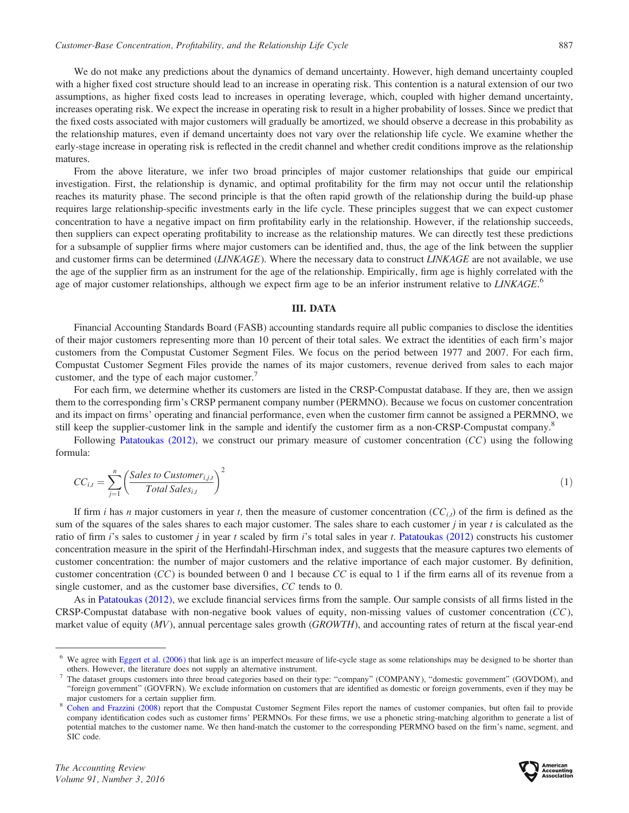We do not make any predictions about the dynamics of demand uncertainty. However, high demand uncertainty coupled with a higher fixed cost structure should lead to an increase in operating risk. This contention is a natural extension of our two assumptions, as higher fixed costs lead to increases in operating leverage, which, coupled with higher demand uncertainty, increases operating risk. We expect the increase in operating risk to result in a higher probability of losses. Since we predict that the fixed costs associated with major customers will gradually be amortized, we should observe a decrease in this probability as the relationship matures, even if demand uncertainty does not vary over the relationship life cycle. We examine whether the early-stage increase in operating risk is reflected in the credit channel and whether credit conditions improve as the relationship matures.

From the above literature, we infer two broad principles of major customer relationships that guide our empirical investigation. First, the relationship is dynamic, and optimal profitability for the firm may not occur until the relationship reaches its maturity phase. The second principle is that the often rapid growth of the relationship during the build-up phase requires large relationship-specific investments early in the life cycle. These principles suggest that we can expect customer concentration to have a negative impact on firm profitability early in the relationship. However, if the relationship succeeds, then suppliers can expect operating profitability to increase as the relationship matures. We can directly test these predictions for a subsample of supplier firms where major customers can be identified and, thus, the age of the link between the supplier and customer firms can be determined (LINKAGE). Where the necessary data to construct LINKAGE are not available, we use the age of the supplier firm as an instrument for the age of the relationship. Empirically, firm age is highly correlated with the age of major customer relationships, although we expect firm age to be an inferior instrument relative to LINKAGE.<sup>6</sup>

#### III. DATA

Financial Accounting Standards Board (FASB) accounting standards require all public companies to disclose the identities of their major customers representing more than 10 percent of their total sales. We extract the identities of each firm's major customers from the Compustat Customer Segment Files. We focus on the period between 1977 and 2007. For each firm, Compustat Customer Segment Files provide the names of its major customers, revenue derived from sales to each major customer, and the type of each major customer.<sup>7</sup>

For each firm, we determine whether its customers are listed in the CRSP-Compustat database. If they are, then we assign them to the corresponding firm's CRSP permanent company number (PERMNO). Because we focus on customer concentration and its impact on firms' operating and financial performance, even when the customer firm cannot be assigned a PERMNO, we still keep the supplier-customer link in the sample and identify the customer firm as a non-CRSP-Compustat company.<sup>8</sup>

Following [Patatoukas \(2012\)](#page-23-0), we construct our primary measure of customer concentration (CC) using the following formula:

$$
CC_{i,t} = \sum_{j=1}^{n} \left( \frac{Sales\ to\ Customer_{i,j,t}}{Total\ Sales_{i,t}} \right)^2
$$
\n
$$
(1)
$$

If firm i has n major customers in year t, then the measure of customer concentration  $(CC_{i,j})$  of the firm is defined as the sum of the squares of the sales shares to each major customer. The sales share to each customer  $j$  in year  $t$  is calculated as the ratio of firm i's sales to customer j in year t scaled by firm i's total sales in year t. [Patatoukas \(2012\)](#page-23-0) constructs his customer concentration measure in the spirit of the Herfindahl-Hirschman index, and suggests that the measure captures two elements of customer concentration: the number of major customers and the relative importance of each major customer. By definition, customer concentration  $(CC)$  is bounded between 0 and 1 because  $CC$  is equal to 1 if the firm earns all of its revenue from a single customer, and as the customer base diversifies, CC tends to 0.

As in [Patatoukas \(2012\),](#page-23-0) we exclude financial services firms from the sample. Our sample consists of all firms listed in the CRSP-Compustat database with non-negative book values of equity, non-missing values of customer concentration (CC), market value of equity  $(MV)$ , annual percentage sales growth  $(GROWTH)$ , and accounting rates of return at the fiscal year-end



<sup>&</sup>lt;sup>6</sup> We agree with [Eggert et al. \(2006\)](#page-23-0) that link age is an imperfect measure of life-cycle stage as some relationships may be designed to be shorter than

others. However, the literature does not supply an alternative instrument.<br>The dataset groups customers into three broad categories based on their type: "company" (COMPANY), "domestic government" (GOVDOM), and ''foreign government'' (GOVFRN). We exclude information on customers that are identified as domestic or foreign governments, even if they may be major customers for a certain supplier firm.<br><sup>8</sup> [Cohen and Frazzini \(2008\)](#page-23-0) report that the Compustat Customer Segment Files report the names of customer companies, but often fail to provide

company identification codes such as customer firms' PERMNOs. For these firms, we use a phonetic string-matching algorithm to generate a list of potential matches to the customer name. We then hand-match the customer to the corresponding PERMNO based on the firm's name, segment, and SIC code.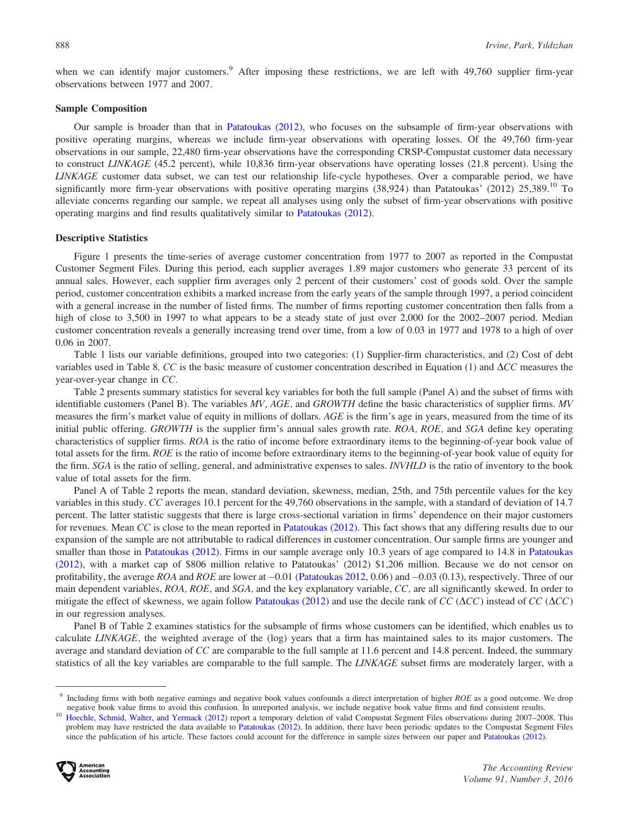when we can identify major customers.<sup>9</sup> After imposing these restrictions, we are left with 49,760 supplier firm-year observations between 1977 and 2007.

#### Sample Composition

Our sample is broader than that in [Patatoukas \(2012\),](#page-23-0) who focuses on the subsample of firm-year observations with positive operating margins, whereas we include firm-year observations with operating losses. Of the 49,760 firm-year observations in our sample, 22,480 firm-year observations have the corresponding CRSP-Compustat customer data necessary to construct LINKAGE (45.2 percent), while 10,836 firm-year observations have operating losses (21.8 percent). Using the LINKAGE customer data subset, we can test our relationship life-cycle hypotheses. Over a comparable period, we have significantly more firm-year observations with positive operating margins  $(38.924)$  than Patatoukas'  $(2012)$   $25.389$ .<sup>10</sup> To alleviate concerns regarding our sample, we repeat all analyses using only the subset of firm-year observations with positive operating margins and find results qualitatively similar to [Patatoukas \(2012\).](#page-23-0)

#### Descriptive Statistics

Figure 1 presents the time-series of average customer concentration from 1977 to 2007 as reported in the Compustat Customer Segment Files. During this period, each supplier averages 1.89 major customers who generate 33 percent of its annual sales. However, each supplier firm averages only 2 percent of their customers' cost of goods sold. Over the sample period, customer concentration exhibits a marked increase from the early years of the sample through 1997, a period coincident with a general increase in the number of listed firms. The number of firms reporting customer concentration then falls from a high of close to 3,500 in 1997 to what appears to be a steady state of just over 2,000 for the 2002–2007 period. Median customer concentration reveals a generally increasing trend over time, from a low of 0.03 in 1977 and 1978 to a high of over 0.06 in 2007.

Table 1 lists our variable definitions, grouped into two categories: (1) Supplier-firm characteristics, and (2) Cost of debt variables used in Table 8. CC is the basic measure of customer concentration described in Equation (1) and  $\Delta CC$  measures the year-over-year change in CC.

Table 2 presents summary statistics for several key variables for both the full sample (Panel A) and the subset of firms with identifiable customers (Panel B). The variables MV, AGE, and GROWTH define the basic characteristics of supplier firms. MV measures the firm's market value of equity in millions of dollars. AGE is the firm's age in years, measured from the time of its initial public offering. GROWTH is the supplier firm's annual sales growth rate. ROA, ROE, and SGA define key operating characteristics of supplier firms. ROA is the ratio of income before extraordinary items to the beginning-of-year book value of total assets for the firm. ROE is the ratio of income before extraordinary items to the beginning-of-year book value of equity for the firm. SGA is the ratio of selling, general, and administrative expenses to sales. INVHLD is the ratio of inventory to the book value of total assets for the firm.

Panel A of Table 2 reports the mean, standard deviation, skewness, median, 25th, and 75th percentile values for the key variables in this study. CC averages 10.1 percent for the 49,760 observations in the sample, with a standard of deviation of 14.7 percent. The latter statistic suggests that there is large cross-sectional variation in firms' dependence on their major customers for revenues. Mean CC is close to the mean reported in [Patatoukas \(2012\).](#page-23-0) This fact shows that any differing results due to our expansion of the sample are not attributable to radical differences in customer concentration. Our sample firms are younger and smaller than those in [Patatoukas \(2012\)](#page-23-0). Firms in our sample average only 10.3 years of age compared to 14.8 in [Patatoukas](#page-23-0) [\(2012\)](#page-23-0), with a market cap of \$806 million relative to Patatoukas' (2012) \$1,206 million. Because we do not censor on profitability, the average ROA and ROE are lower at  $-0.01$  ([Patatoukas 2012](#page-23-0), 0.06) and  $-0.03$  (0.13), respectively. Three of our main dependent variables, ROA, ROE, and SGA, and the key explanatory variable, CC, are all significantly skewed. In order to mitigate the effect of skewness, we again follow [Patatoukas \(2012\)](#page-23-0) and use the decile rank of CC ( $\Delta CC$ ) instead of CC ( $\Delta CC$ ) in our regression analyses.

Panel B of Table 2 examines statistics for the subsample of firms whose customers can be identified, which enables us to calculate LINKAGE, the weighted average of the (log) years that a firm has maintained sales to its major customers. The average and standard deviation of CC are comparable to the full sample at 11.6 percent and 14.8 percent. Indeed, the summary statistics of all the key variables are comparable to the full sample. The LINKAGE subset firms are moderately larger, with a

<sup>&</sup>lt;sup>10</sup> [Hoechle, Schmid, Walter, and Yermack \(2012\)](#page-23-0) report a temporary deletion of valid Compustat Segment Files observations during 2007–2008. This problem may have restricted the data available to [Patatoukas \(2012\)](#page-23-0). In addition, there have been periodic updates to the Compustat Segment Files since the publication of his article. These factors could account for the difference in sample sizes between our paper and [Patatoukas \(2012\).](#page-23-0)



<sup>&</sup>lt;sup>9</sup> Including firms with both negative earnings and negative book values confounds a direct interpretation of higher ROE as a good outcome. We drop negative book value firms to avoid this confusion. In unreported analysis,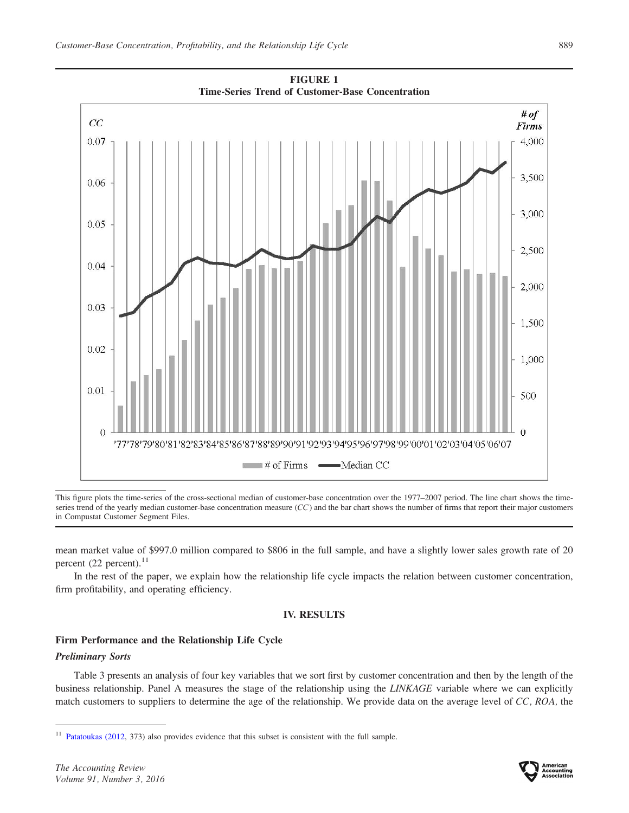

This figure plots the time-series of the cross-sectional median of customer-base concentration over the 1977–2007 period. The line chart shows the timeseries trend of the yearly median customer-base concentration measure  $(CC)$  and the bar chart shows the number of firms that report their major customers in Compustat Customer Segment Files.

mean market value of \$997.0 million compared to \$806 in the full sample, and have a slightly lower sales growth rate of 20 percent (22 percent).<sup>11</sup>

In the rest of the paper, we explain how the relationship life cycle impacts the relation between customer concentration, firm profitability, and operating efficiency.

#### IV. RESULTS

# Firm Performance and the Relationship Life Cycle

# Preliminary Sorts

Table 3 presents an analysis of four key variables that we sort first by customer concentration and then by the length of the business relationship. Panel A measures the stage of the relationship using the LINKAGE variable where we can explicitly match customers to suppliers to determine the age of the relationship. We provide data on the average level of CC, ROA, the



<sup>&</sup>lt;sup>11</sup> [Patatoukas \(2012](#page-23-0), 373) also provides evidence that this subset is consistent with the full sample.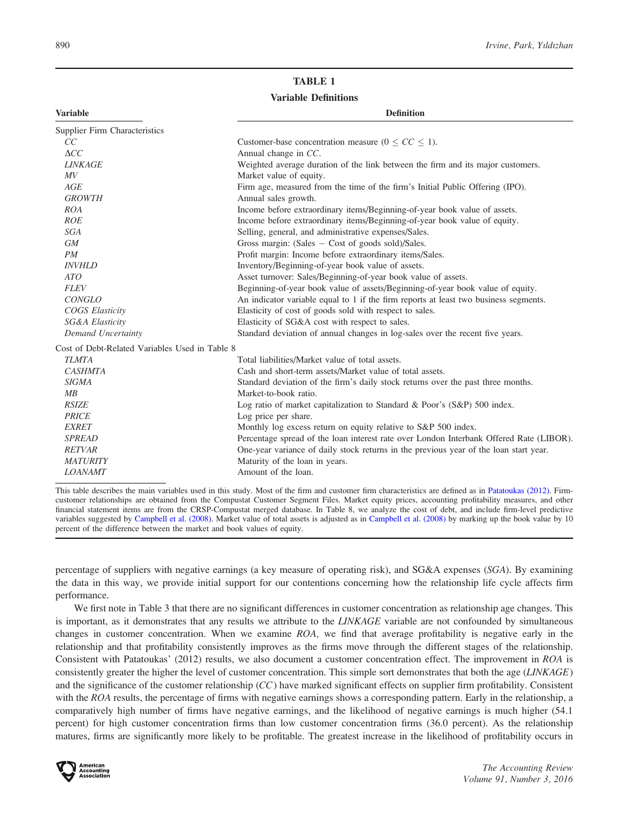#### Variable Definitions

| <b>Variable</b>                                | <b>Definition</b>                                                                       |
|------------------------------------------------|-----------------------------------------------------------------------------------------|
| Supplier Firm Characteristics                  |                                                                                         |
| CC                                             | Customer-base concentration measure ( $0 \leq CC \leq 1$ ).                             |
| $\Delta CC$                                    | Annual change in CC.                                                                    |
| <b>LINKAGE</b>                                 | Weighted average duration of the link between the firm and its major customers.         |
| MV                                             | Market value of equity.                                                                 |
| AGE                                            | Firm age, measured from the time of the firm's Initial Public Offering (IPO).           |
| <b>GROWTH</b>                                  | Annual sales growth.                                                                    |
| <b>ROA</b>                                     | Income before extraordinary items/Beginning-of-year book value of assets.               |
| <b>ROE</b>                                     | Income before extraordinary items/Beginning-of-year book value of equity.               |
| SGA                                            | Selling, general, and administrative expenses/Sales.                                    |
| <b>GM</b>                                      | Gross margin: (Sales $-$ Cost of goods sold)/Sales.                                     |
| PM                                             | Profit margin: Income before extraordinary items/Sales.                                 |
| <b>INVHLD</b>                                  | Inventory/Beginning-of-year book value of assets.                                       |
| ATO                                            | Asset turnover: Sales/Beginning-of-year book value of assets.                           |
| <b>FLEV</b>                                    | Beginning-of-year book value of assets/Beginning-of-year book value of equity.          |
| <b>CONGLO</b>                                  | An indicator variable equal to 1 if the firm reports at least two business segments.    |
| <b>COGS</b> Elasticity                         | Elasticity of cost of goods sold with respect to sales.                                 |
| SG&A Elasticity                                | Elasticity of SG&A cost with respect to sales.                                          |
| Demand Uncertainty                             | Standard deviation of annual changes in log-sales over the recent five years.           |
| Cost of Debt-Related Variables Used in Table 8 |                                                                                         |
| <b>TLMTA</b>                                   | Total liabilities/Market value of total assets.                                         |
| <b>CASHMTA</b>                                 | Cash and short-term assets/Market value of total assets.                                |
| <b>SIGMA</b>                                   | Standard deviation of the firm's daily stock returns over the past three months.        |
| MB                                             | Market-to-book ratio.                                                                   |
| <b>RSIZE</b>                                   | Log ratio of market capitalization to Standard & Poor's (S&P) 500 index.                |
| <b>PRICE</b>                                   | Log price per share.                                                                    |
| <b>EXRET</b>                                   | Monthly log excess return on equity relative to S&P 500 index.                          |
| <b>SPREAD</b>                                  | Percentage spread of the loan interest rate over London Interbank Offered Rate (LIBOR). |
| <b>RETVAR</b>                                  | One-year variance of daily stock returns in the previous year of the loan start year.   |
| <b>MATURITY</b>                                | Maturity of the loan in years.                                                          |
| <b>LOANAMT</b>                                 | Amount of the loan.                                                                     |

This table describes the main variables used in this study. Most of the firm and customer firm characteristics are defined as in [Patatoukas \(2012\).](#page-23-0) Firmcustomer relationships are obtained from the Compustat Customer Segment Files. Market equity prices, accounting profitability measures, and other financial statement items are from the CRSP-Compustat merged database. In Table 8, we analyze the cost of debt, and include firm-level predictive variables suggested by [Campbell et al. \(2008\).](#page-23-0) Market value of total assets is adjusted as in [Campbell et al. \(2008\)](#page-23-0) by marking up the book value by 10 percent of the difference between the market and book values of equity.

percentage of suppliers with negative earnings (a key measure of operating risk), and SG&A expenses (SGA). By examining the data in this way, we provide initial support for our contentions concerning how the relationship life cycle affects firm performance.

We first note in Table 3 that there are no significant differences in customer concentration as relationship age changes. This is important, as it demonstrates that any results we attribute to the LINKAGE variable are not confounded by simultaneous changes in customer concentration. When we examine  $ROA$ , we find that average profitability is negative early in the relationship and that profitability consistently improves as the firms move through the different stages of the relationship. Consistent with Patatoukas' (2012) results, we also document a customer concentration effect. The improvement in ROA is consistently greater the higher the level of customer concentration. This simple sort demonstrates that both the age (LINKAGE) and the significance of the customer relationship  $(CC)$  have marked significant effects on supplier firm profitability. Consistent with the ROA results, the percentage of firms with negative earnings shows a corresponding pattern. Early in the relationship, a comparatively high number of firms have negative earnings, and the likelihood of negative earnings is much higher (54.1 percent) for high customer concentration firms than low customer concentration firms (36.0 percent). As the relationship matures, firms are significantly more likely to be profitable. The greatest increase in the likelihood of profitability occurs in

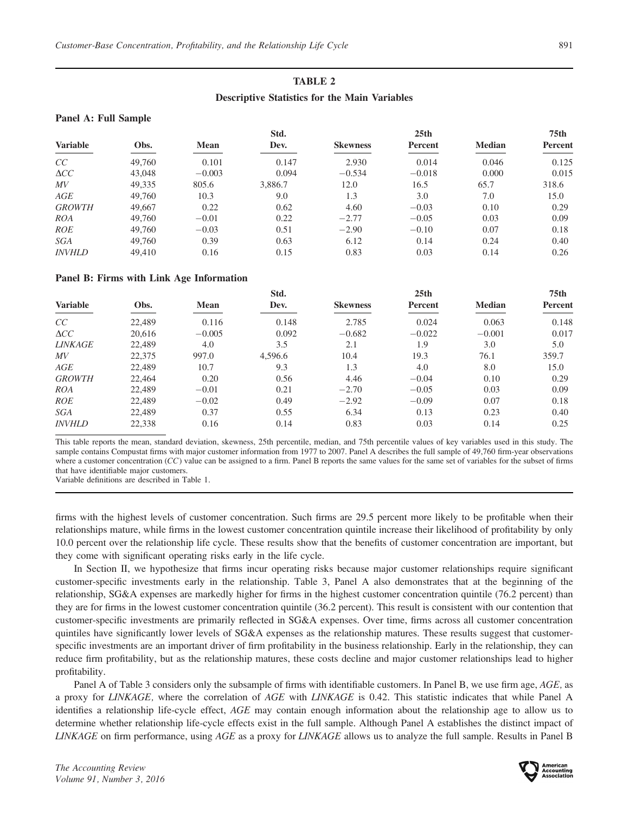# TABLE 2 Descriptive Statistics for the Main Variables

#### Panel A: Full Sample

|                 |        |             | Std.    |                 | 25 <sub>th</sub> |               | 75 <sub>th</sub> |
|-----------------|--------|-------------|---------|-----------------|------------------|---------------|------------------|
| <b>Variable</b> | Obs.   | <b>Mean</b> | Dev.    | <b>Skewness</b> | Percent          | <b>Median</b> | Percent          |
| CC              | 49,760 | 0.101       | 0.147   | 2.930           | 0.014            | 0.046         | 0.125            |
| $\Delta CC$     | 43,048 | $-0.003$    | 0.094   | $-0.534$        | $-0.018$         | 0.000         | 0.015            |
| MV              | 49,335 | 805.6       | 3,886.7 | 12.0            | 16.5             | 65.7          | 318.6            |
| AGE             | 49,760 | 10.3        | 9.0     | 1.3             | 3.0              | 7.0           | 15.0             |
| <b>GROWTH</b>   | 49,667 | 0.22        | 0.62    | 4.60            | $-0.03$          | 0.10          | 0.29             |
| <i>ROA</i>      | 49,760 | $-0.01$     | 0.22    | $-2.77$         | $-0.05$          | 0.03          | 0.09             |
| <b>ROE</b>      | 49,760 | $-0.03$     | 0.51    | $-2.90$         | $-0.10$          | 0.07          | 0.18             |
| SGA             | 49,760 | 0.39        | 0.63    | 6.12            | 0.14             | 0.24          | 0.40             |
| <b>INVHLD</b>   | 49,410 | 0.16        | 0.15    | 0.83            | 0.03             | 0.14          | 0.26             |

#### Panel B: Firms with Link Age Information

|                      |        |             | Std.    |                 | 25 <sub>th</sub> |               | 75 <sub>th</sub> |
|----------------------|--------|-------------|---------|-----------------|------------------|---------------|------------------|
| <b>Variable</b>      | Obs.   | <b>Mean</b> | Dev.    | <b>Skewness</b> | Percent          | <b>Median</b> | Percent          |
| CC                   | 22,489 | 0.116       | 0.148   | 2.785           | 0.024            | 0.063         | 0.148            |
| $\Delta CC$          | 20.616 | $-0.005$    | 0.092   | $-0.682$        | $-0.022$         | $-0.001$      | 0.017            |
| <b>LINKAGE</b>       | 22,489 | 4.0         | 3.5     | 2.1             | 1.9              | 3.0           | 5.0              |
| MV                   | 22,375 | 997.0       | 4,596.6 | 10.4            | 19.3             | 76.1          | 359.7            |
| AGE                  | 22.489 | 10.7        | 9.3     | 1.3             | 4.0              | 8.0           | 15.0             |
| <b>GROWTH</b>        | 22,464 | 0.20        | 0.56    | 4.46            | $-0.04$          | 0.10          | 0.29             |
| <i>ROA</i>           | 22.489 | $-0.01$     | 0.21    | $-2.70$         | $-0.05$          | 0.03          | 0.09             |
| <b>ROE</b>           | 22.489 | $-0.02$     | 0.49    | $-2.92$         | $-0.09$          | 0.07          | 0.18             |
| SGA                  | 22.489 | 0.37        | 0.55    | 6.34            | 0.13             | 0.23          | 0.40             |
| <i><b>INVHLD</b></i> | 22,338 | 0.16        | 0.14    | 0.83            | 0.03             | 0.14          | 0.25             |

This table reports the mean, standard deviation, skewness, 25th percentile, median, and 75th percentile values of key variables used in this study. The sample contains Compustat firms with major customer information from 1977 to 2007. Panel A describes the full sample of 49,760 firm-year observations where a customer concentration (CC) value can be assigned to a firm. Panel B reports the same values for the same set of variables for the subset of firms that have identifiable major customers.

Variable definitions are described in Table 1.

firms with the highest levels of customer concentration. Such firms are 29.5 percent more likely to be profitable when their relationships mature, while firms in the lowest customer concentration quintile increase their likelihood of profitability by only 10.0 percent over the relationship life cycle. These results show that the benefits of customer concentration are important, but they come with significant operating risks early in the life cycle.

In Section II, we hypothesize that firms incur operating risks because major customer relationships require significant customer-specific investments early in the relationship. Table 3, Panel A also demonstrates that at the beginning of the relationship, SG&A expenses are markedly higher for firms in the highest customer concentration quintile (76.2 percent) than they are for firms in the lowest customer concentration quintile (36.2 percent). This result is consistent with our contention that customer-specific investments are primarily reflected in SG&A expenses. Over time, firms across all customer concentration quintiles have significantly lower levels of SG&A expenses as the relationship matures. These results suggest that customerspecific investments are an important driver of firm profitability in the business relationship. Early in the relationship, they can reduce firm profitability, but as the relationship matures, these costs decline and major customer relationships lead to higher profitability.

Panel A of Table 3 considers only the subsample of firms with identifiable customers. In Panel B, we use firm age, AGE, as a proxy for LINKAGE, where the correlation of AGE with LINKAGE is 0.42. This statistic indicates that while Panel A identifies a relationship life-cycle effect, AGE may contain enough information about the relationship age to allow us to determine whether relationship life-cycle effects exist in the full sample. Although Panel A establishes the distinct impact of LINKAGE on firm performance, using AGE as a proxy for LINKAGE allows us to analyze the full sample. Results in Panel B

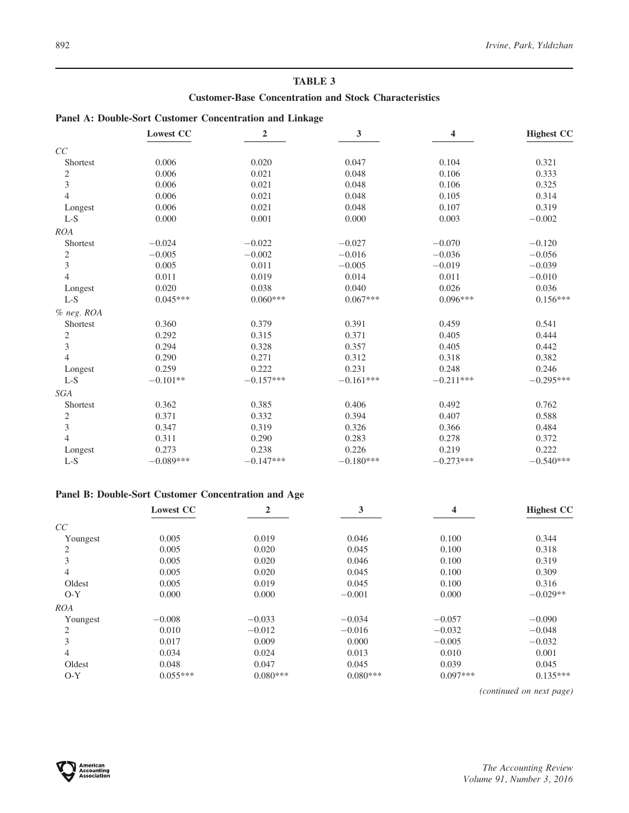# Customer-Base Concentration and Stock Characteristics

# Panel A: Double-Sort Customer Concentration and Linkage

|                 | Lowest CC   | $\boldsymbol{2}$ | 3           | 4           | <b>Highest CC</b> |
|-----------------|-------------|------------------|-------------|-------------|-------------------|
| $\cal CC$       |             |                  |             |             |                   |
| Shortest        | 0.006       | 0.020            | 0.047       | 0.104       | 0.321             |
| $\overline{c}$  | 0.006       | 0.021            | 0.048       | 0.106       | 0.333             |
| 3               | 0.006       | 0.021            | 0.048       | 0.106       | 0.325             |
| $\overline{4}$  | 0.006       | 0.021            | 0.048       | 0.105       | 0.314             |
| Longest         | 0.006       | 0.021            | 0.048       | 0.107       | 0.319             |
| $L-S$           | 0.000       | 0.001            | 0.000       | 0.003       | $-0.002$          |
| <b>ROA</b>      |             |                  |             |             |                   |
| Shortest        | $-0.024$    | $-0.022$         | $-0.027$    | $-0.070$    | $-0.120$          |
| $\overline{c}$  | $-0.005$    | $-0.002$         | $-0.016$    | $-0.036$    | $-0.056$          |
| 3               | 0.005       | 0.011            | $-0.005$    | $-0.019$    | $-0.039$          |
| $\overline{4}$  | 0.011       | 0.019            | 0.014       | 0.011       | $-0.010$          |
| Longest         | 0.020       | 0.038            | 0.040       | 0.026       | 0.036             |
| $L-S$           | $0.045***$  | $0.060***$       | $0.067***$  | $0.096***$  | $0.156***$        |
| % neg. ROA      |             |                  |             |             |                   |
| <b>Shortest</b> | 0.360       | 0.379            | 0.391       | 0.459       | 0.541             |
| $\overline{c}$  | 0.292       | 0.315            | 0.371       | 0.405       | 0.444             |
| 3               | 0.294       | 0.328            | 0.357       | 0.405       | 0.442             |
| $\overline{4}$  | 0.290       | 0.271            | 0.312       | 0.318       | 0.382             |
| Longest         | 0.259       | 0.222            | 0.231       | 0.248       | 0.246             |
| $L-S$           | $-0.101**$  | $-0.157***$      | $-0.161***$ | $-0.211***$ | $-0.295***$       |
| SGA             |             |                  |             |             |                   |
| Shortest        | 0.362       | 0.385            | 0.406       | 0.492       | 0.762             |
| $\overline{c}$  | 0.371       | 0.332            | 0.394       | 0.407       | 0.588             |
| 3               | 0.347       | 0.319            | 0.326       | 0.366       | 0.484             |
| 4               | 0.311       | 0.290            | 0.283       | 0.278       | 0.372             |
| Longest         | 0.273       | 0.238            | 0.226       | 0.219       | 0.222             |
| $L-S$           | $-0.089***$ | $-0.147***$      | $-0.180***$ | $-0.273***$ | $-0.540***$       |

## Panel B: Double-Sort Customer Concentration and Age

|                | Lowest CC  | $\mathbf{2}$ | 3          | 4          | <b>Highest CC</b> |
|----------------|------------|--------------|------------|------------|-------------------|
| CC             |            |              |            |            |                   |
| Youngest       | 0.005      | 0.019        | 0.046      | 0.100      | 0.344             |
| 2              | 0.005      | 0.020        | 0.045      | 0.100      | 0.318             |
| 3              | 0.005      | 0.020        | 0.046      | 0.100      | 0.319             |
| 4              | 0.005      | 0.020        | 0.045      | 0.100      | 0.309             |
| Oldest         | 0.005      | 0.019        | 0.045      | 0.100      | 0.316             |
| $O-Y$          | 0.000      | 0.000        | $-0.001$   | 0.000      | $-0.029**$        |
| <b>ROA</b>     |            |              |            |            |                   |
| Youngest       | $-0.008$   | $-0.033$     | $-0.034$   | $-0.057$   | $-0.090$          |
| 2              | 0.010      | $-0.012$     | $-0.016$   | $-0.032$   | $-0.048$          |
| 3              | 0.017      | 0.009        | 0.000      | $-0.005$   | $-0.032$          |
| $\overline{4}$ | 0.034      | 0.024        | 0.013      | 0.010      | 0.001             |
| Oldest         | 0.048      | 0.047        | 0.045      | 0.039      | 0.045             |
| $O-Y$          | $0.055***$ | $0.080***$   | $0.080***$ | $0.097***$ | $0.135***$        |

(continued on next page)

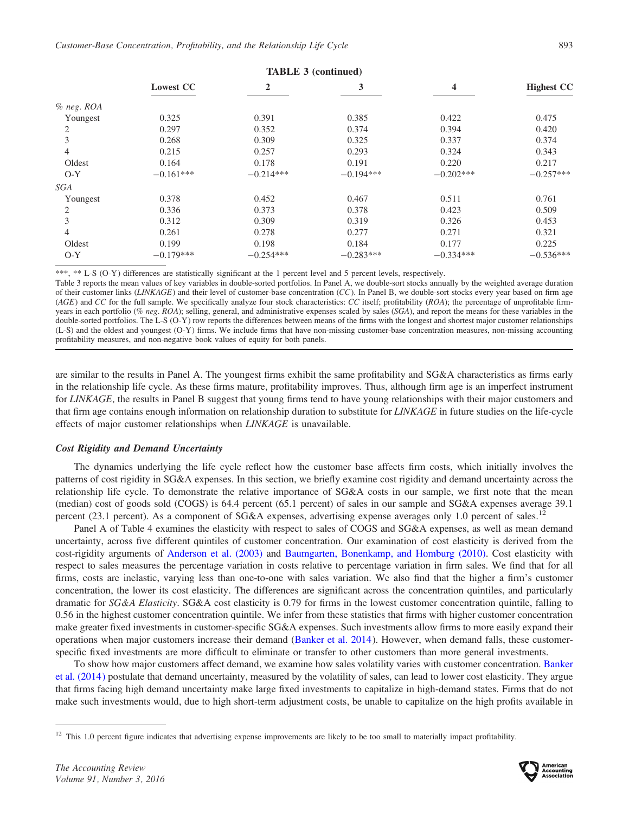|                |                  |                | TABLE 3 (continued) |             |                   |
|----------------|------------------|----------------|---------------------|-------------|-------------------|
|                | <b>Lowest CC</b> | $\overline{2}$ | 3                   | 4           | <b>Highest CC</b> |
| $%$ neg. $ROA$ |                  |                |                     |             |                   |
| Youngest       | 0.325            | 0.391          | 0.385               | 0.422       | 0.475             |
| 2              | 0.297            | 0.352          | 0.374               | 0.394       | 0.420             |
| 3              | 0.268            | 0.309          | 0.325               | 0.337       | 0.374             |
| $\overline{4}$ | 0.215            | 0.257          | 0.293               | 0.324       | 0.343             |
| Oldest         | 0.164            | 0.178          | 0.191               | 0.220       | 0.217             |
| $O-Y$          | $-0.161***$      | $-0.214***$    | $-0.194***$         | $-0.202***$ | $-0.257***$       |
| SGA            |                  |                |                     |             |                   |
| Youngest       | 0.378            | 0.452          | 0.467               | 0.511       | 0.761             |
| 2              | 0.336            | 0.373          | 0.378               | 0.423       | 0.509             |
| 3              | 0.312            | 0.309          | 0.319               | 0.326       | 0.453             |
| $\overline{4}$ | 0.261            | 0.278          | 0.277               | 0.271       | 0.321             |
| Oldest         | 0.199            | 0.198          | 0.184               | 0.177       | 0.225             |
| $O-Y$          | $-0.179***$      | $-0.254***$    | $-0.283***$         | $-0.334***$ | $-0.536***$       |
|                |                  |                |                     |             |                   |

 $T_A$  Defined  $\alpha$ 

\*\*\*, \*\* L-S (O-Y) differences are statistically significant at the 1 percent level and 5 percent levels, respectively.

Table 3 reports the mean values of key variables in double-sorted portfolios. In Panel A, we double-sort stocks annually by the weighted average duration of their customer links (LINKAGE) and their level of customer-base concentration (CC). In Panel B, we double-sort stocks every year based on firm age  $(AGE)$  and CC for the full sample. We specifically analyze four stock characteristics: CC itself; profitability  $(ROA)$ ; the percentage of unprofitable firmyears in each portfolio (% neg. ROA); selling, general, and administrative expenses scaled by sales (SGA), and report the means for these variables in the double-sorted portfolios. The L-S (O-Y) row reports the differences between means of the firms with the longest and shortest major customer relationships (L-S) and the oldest and youngest (O-Y) firms. We include firms that have non-missing customer-base concentration measures, non-missing accounting profitability measures, and non-negative book values of equity for both panels.

are similar to the results in Panel A. The youngest firms exhibit the same profitability and SG&A characteristics as firms early in the relationship life cycle. As these firms mature, profitability improves. Thus, although firm age is an imperfect instrument for LINKAGE, the results in Panel B suggest that young firms tend to have young relationships with their major customers and that firm age contains enough information on relationship duration to substitute for LINKAGE in future studies on the life-cycle effects of major customer relationships when LINKAGE is unavailable.

#### Cost Rigidity and Demand Uncertainty

The dynamics underlying the life cycle reflect how the customer base affects firm costs, which initially involves the patterns of cost rigidity in SG&A expenses. In this section, we briefly examine cost rigidity and demand uncertainty across the relationship life cycle. To demonstrate the relative importance of SG&A costs in our sample, we first note that the mean (median) cost of goods sold (COGS) is 64.4 percent (65.1 percent) of sales in our sample and SG&A expenses average 39.1 percent (23.1 percent). As a component of SG&A expenses, advertising expense averages only 1.0 percent of sales.<sup>12</sup>

Panel A of Table 4 examines the elasticity with respect to sales of COGS and SG&A expenses, as well as mean demand uncertainty, across five different quintiles of customer concentration. Our examination of cost elasticity is derived from the cost-rigidity arguments of [Anderson et al. \(2003\)](#page-22-0) and [Baumgarten, Bonenkamp, and Homburg \(2010\).](#page-22-0) Cost elasticity with respect to sales measures the percentage variation in costs relative to percentage variation in firm sales. We find that for all firms, costs are inelastic, varying less than one-to-one with sales variation. We also find that the higher a firm's customer concentration, the lower its cost elasticity. The differences are significant across the concentration quintiles, and particularly dramatic for SG&A Elasticity. SG&A cost elasticity is 0.79 for firms in the lowest customer concentration quintile, falling to 0.56 in the highest customer concentration quintile. We infer from these statistics that firms with higher customer concentration make greater fixed investments in customer-specific SG&A expenses. Such investments allow firms to more easily expand their operations when major customers increase their demand ([Banker et al. 2014](#page-22-0)). However, when demand falls, these customerspecific fixed investments are more difficult to eliminate or transfer to other customers than more general investments.

To show how major customers affect demand, we examine how sales volatility varies with customer concentration. [Banker](#page-22-0) [et al. \(2014\)](#page-22-0) postulate that demand uncertainty, measured by the volatility of sales, can lead to lower cost elasticity. They argue that firms facing high demand uncertainty make large fixed investments to capitalize in high-demand states. Firms that do not make such investments would, due to high short-term adjustment costs, be unable to capitalize on the high profits available in

 $12$  This 1.0 percent figure indicates that advertising expense improvements are likely to be too small to materially impact profitability.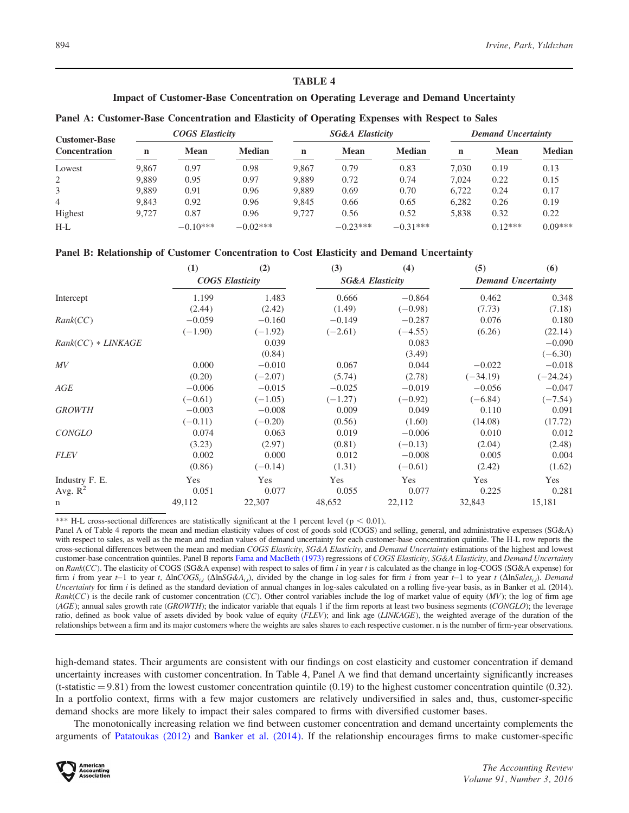#### Impact of Customer-Base Concentration on Operating Leverage and Demand Uncertainty

#### Panel A: Customer-Base Concentration and Elasticity of Operating Expenses with Respect to Sales

| <b>Customer-Base</b> |       | <b>COGS</b> Elasticity |               |       | <b>SG&amp;A Elasticity</b> |               |             | <b>Demand Uncertainty</b> |               |
|----------------------|-------|------------------------|---------------|-------|----------------------------|---------------|-------------|---------------------------|---------------|
| <b>Concentration</b> | n     | <b>Mean</b>            | <b>Median</b> | n     | <b>Mean</b>                | <b>Median</b> | $\mathbf n$ | <b>Mean</b>               | <b>Median</b> |
| Lowest               | 9.867 | 0.97                   | 0.98          | 9.867 | 0.79                       | 0.83          | 7.030       | 0.19                      | 0.13          |
| 2                    | 9.889 | 0.95                   | 0.97          | 9.889 | 0.72                       | 0.74          | 7.024       | 0.22                      | 0.15          |
| 3                    | 9.889 | 0.91                   | 0.96          | 9.889 | 0.69                       | 0.70          | 6.722       | 0.24                      | 0.17          |
| $\overline{4}$       | 9.843 | 0.92                   | 0.96          | 9.845 | 0.66                       | 0.65          | 6.282       | 0.26                      | 0.19          |
| Highest              | 9.727 | 0.87                   | 0.96          | 9.727 | 0.56                       | 0.52          | 5.838       | 0.32                      | 0.22          |
| $H-L$                |       | $-0.10***$             | $-0.02***$    |       | $-0.23***$                 | $-0.31***$    |             | $0.12***$                 | $0.09***$     |

#### Panel B: Relationship of Customer Concentration to Cost Elasticity and Demand Uncertainty

|                      | (1)       | (2)                    | (3)       | (4)                        | (5)                       | (6)        |
|----------------------|-----------|------------------------|-----------|----------------------------|---------------------------|------------|
|                      |           | <b>COGS</b> Elasticity |           | <b>SG&amp;A Elasticity</b> | <b>Demand Uncertainty</b> |            |
| Intercept            | 1.199     | 1.483                  | 0.666     | $-0.864$                   | 0.462                     | 0.348      |
|                      | (2.44)    | (2.42)                 | (1.49)    | $(-0.98)$                  | (7.73)                    | (7.18)     |
| Rank(CC)             | $-0.059$  | $-0.160$               | $-0.149$  | $-0.287$                   | 0.076                     | 0.180      |
|                      | $(-1.90)$ | $(-1.92)$              | $(-2.61)$ | $(-4.55)$                  | (6.26)                    | (22.14)    |
| $Rank(CC) * LINKAGE$ |           | 0.039                  |           | 0.083                      |                           | $-0.090$   |
|                      |           | (0.84)                 |           | (3.49)                     |                           | $(-6.30)$  |
| MV                   | 0.000     | $-0.010$               | 0.067     | 0.044                      | $-0.022$                  | $-0.018$   |
|                      | (0.20)    | $(-2.07)$              | (5.74)    | (2.78)                     | $(-34.19)$                | $(-24.24)$ |
| AGE                  | $-0.006$  | $-0.015$               | $-0.025$  | $-0.019$                   | $-0.056$                  | $-0.047$   |
|                      | $(-0.61)$ | $(-1.05)$              | $(-1.27)$ | $(-0.92)$                  | $(-6.84)$                 | $(-7.54)$  |
| <b>GROWTH</b>        | $-0.003$  | $-0.008$               | 0.009     | 0.049                      | 0.110                     | 0.091      |
|                      | $(-0.11)$ | $(-0.20)$              | (0.56)    | (1.60)                     | (14.08)                   | (17.72)    |
| <b>CONGLO</b>        | 0.074     | 0.063                  | 0.019     | $-0.006$                   | 0.010                     | 0.012      |
|                      | (3.23)    | (2.97)                 | (0.81)    | $(-0.13)$                  | (2.04)                    | (2.48)     |
| <b>FLEV</b>          | 0.002     | 0.000                  | 0.012     | $-0.008$                   | 0.005                     | 0.004      |
|                      | (0.86)    | $(-0.14)$              | (1.31)    | $(-0.61)$                  | (2.42)                    | (1.62)     |
| Industry F. E.       | Yes       | Yes                    | Yes       | Yes                        | Yes                       | Yes        |
| Avg. $R^2$           | 0.051     | 0.077                  | 0.055     | 0.077                      | 0.225                     | 0.281      |
| $\mathbf n$          | 49,112    | 22,307                 | 48,652    | 22,112                     | 32,843                    | 15,181     |

\*\*\* H-L cross-sectional differences are statistically significant at the 1 percent level ( $p < 0.01$ ).

Panel A of Table 4 reports the mean and median elasticity values of cost of goods sold (COGS) and selling, general, and administrative expenses (SG&A) with respect to sales, as well as the mean and median values of demand uncertainty for each customer-base concentration quintile. The H-L row reports the cross-sectional differences between the mean and median COGS Elasticity, SG&A Elasticity, and Demand Uncertainty estimations of the highest and lowest customer-base concentration quintiles. Panel B reports [Fama and MacBeth \(1973\)](#page-23-0) regressions of COGS Elasticity, SG&A Elasticity, and Demand Uncertainty on Rank(CC). The elasticity of COGS (SG&A expense) with respect to sales of firm i in year t is calculated as the change in log-COGS (SG&A expense) for firm *i* from year t-1 to year t,  $\Delta ln COGS_{i,t}$  ( $\Delta ln SGG_{i,t}$ ), divided by the change in log-sales for firm *i* from year t-1 to year t ( $\Delta ln Sales_{i,t}$ ). Demand Uncertainty for firm i is defined as the standard deviation of annual changes in log-sales calculated on a rolling five-year basis, as in Banker et al. (2014). Rank(CC) is the decile rank of customer concentration (CC). Other control variables include the log of market value of equity  $(MV)$ ; the log of firm age  $(AGE)$ ; annual sales growth rate  $(GROWTH)$ ; the indicator variable that equals 1 if the firm reports at least two business segments  $(CONGLO)$ ; the leverage ratio, defined as book value of assets divided by book value of equity (FLEV); and link age (LINKAGE), the weighted average of the duration of the relationships between a firm and its major customers where the weights are sales shares to each respective customer. n is the number of firm-year observations.

high-demand states. Their arguments are consistent with our findings on cost elasticity and customer concentration if demand uncertainty increases with customer concentration. In Table 4, Panel A we find that demand uncertainty significantly increases (t-statistic  $= 9.81$ ) from the lowest customer concentration quintile (0.19) to the highest customer concentration quintile (0.32). In a portfolio context, firms with a few major customers are relatively undiversified in sales and, thus, customer-specific demand shocks are more likely to impact their sales compared to firms with diversified customer bases.

The monotonically increasing relation we find between customer concentration and demand uncertainty complements the arguments of [Patatoukas \(2012\)](#page-23-0) and [Banker et al. \(2014\)](#page-22-0). If the relationship encourages firms to make customer-specific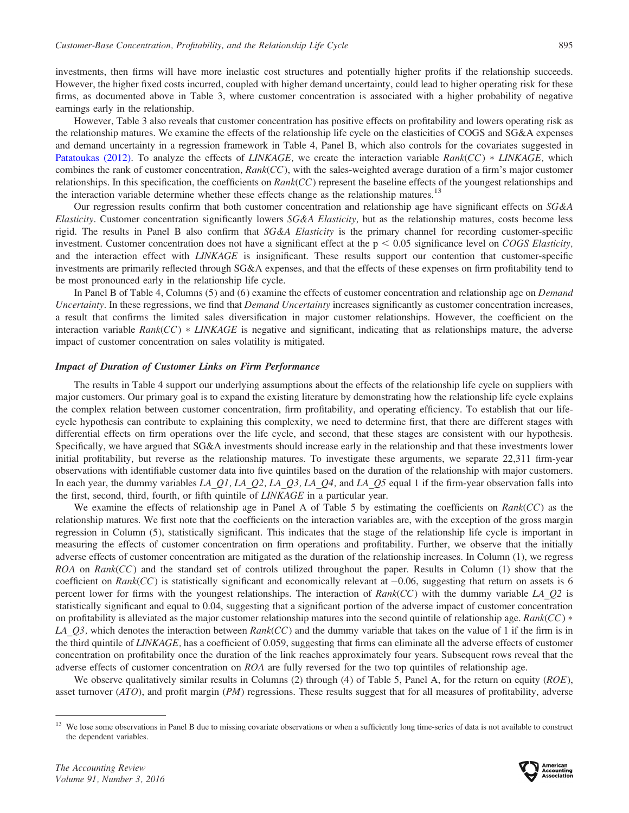investments, then firms will have more inelastic cost structures and potentially higher profits if the relationship succeeds. However, the higher fixed costs incurred, coupled with higher demand uncertainty, could lead to higher operating risk for these firms, as documented above in Table 3, where customer concentration is associated with a higher probability of negative earnings early in the relationship.

However, Table 3 also reveals that customer concentration has positive effects on profitability and lowers operating risk as the relationship matures. We examine the effects of the relationship life cycle on the elasticities of COGS and SG&A expenses and demand uncertainty in a regression framework in Table 4, Panel B, which also controls for the covariates suggested in [Patatoukas \(2012\)](#page-23-0). To analyze the effects of LINKAGE, we create the interaction variable  $Rank(CC) * LINKAGE$ , which combines the rank of customer concentration,  $Rank(CC)$ , with the sales-weighted average duration of a firm's major customer relationships. In this specification, the coefficients on  $Rank(CC)$  represent the baseline effects of the youngest relationships and the interaction variable determine whether these effects change as the relationship matures.<sup>13</sup>

Our regression results confirm that both customer concentration and relationship age have significant effects on SG&A Elasticity. Customer concentration significantly lowers SG&A Elasticity, but as the relationship matures, costs become less rigid. The results in Panel B also confirm that SG&A Elasticity is the primary channel for recording customer-specific investment. Customer concentration does not have a significant effect at the  $p < 0.05$  significance level on COGS Elasticity, and the interaction effect with LINKAGE is insignificant. These results support our contention that customer-specific investments are primarily reflected through SG&A expenses, and that the effects of these expenses on firm profitability tend to be most pronounced early in the relationship life cycle.

In Panel B of Table 4, Columns (5) and (6) examine the effects of customer concentration and relationship age on Demand Uncertainty. In these regressions, we find that Demand Uncertainty increases significantly as customer concentration increases, a result that confirms the limited sales diversification in major customer relationships. However, the coefficient on the interaction variable  $Rank(CC) * LINKAGE$  is negative and significant, indicating that as relationships mature, the adverse impact of customer concentration on sales volatility is mitigated.

#### Impact of Duration of Customer Links on Firm Performance

The results in Table 4 support our underlying assumptions about the effects of the relationship life cycle on suppliers with major customers. Our primary goal is to expand the existing literature by demonstrating how the relationship life cycle explains the complex relation between customer concentration, firm profitability, and operating efficiency. To establish that our lifecycle hypothesis can contribute to explaining this complexity, we need to determine first, that there are different stages with differential effects on firm operations over the life cycle, and second, that these stages are consistent with our hypothesis. Specifically, we have argued that SG&A investments should increase early in the relationship and that these investments lower initial profitability, but reverse as the relationship matures. To investigate these arguments, we separate 22,311 firm-year observations with identifiable customer data into five quintiles based on the duration of the relationship with major customers. In each year, the dummy variables LA Q1, LA  $Q2$ , LA  $Q3$ , LA  $Q4$ , and LA  $Q5$  equal 1 if the firm-year observation falls into the first, second, third, fourth, or fifth quintile of LINKAGE in a particular year.

We examine the effects of relationship age in Panel A of Table 5 by estimating the coefficients on Rank(CC) as the relationship matures. We first note that the coefficients on the interaction variables are, with the exception of the gross margin regression in Column (5), statistically significant. This indicates that the stage of the relationship life cycle is important in measuring the effects of customer concentration on firm operations and profitability. Further, we observe that the initially adverse effects of customer concentration are mitigated as the duration of the relationship increases. In Column (1), we regress ROA on Rank(CC) and the standard set of controls utilized throughout the paper. Results in Column (1) show that the coefficient on  $Rank(CC)$  is statistically significant and economically relevant at  $-0.06$ , suggesting that return on assets is 6 percent lower for firms with the youngest relationships. The interaction of  $Rank(CC)$  with the dummy variable LA  $Q2$  is statistically significant and equal to 0.04, suggesting that a significant portion of the adverse impact of customer concentration on profitability is alleviated as the major customer relationship matures into the second quintile of relationship age.  $Rank(CC)$ LA  $Q_3$ , which denotes the interaction between  $Rank(CC)$  and the dummy variable that takes on the value of 1 if the firm is in the third quintile of LINKAGE, has a coefficient of 0.059, suggesting that firms can eliminate all the adverse effects of customer concentration on profitability once the duration of the link reaches approximately four years. Subsequent rows reveal that the adverse effects of customer concentration on ROA are fully reversed for the two top quintiles of relationship age.

We observe qualitatively similar results in Columns (2) through (4) of Table 5, Panel A, for the return on equity (ROE), asset turnover (ATO), and profit margin (PM) regressions. These results suggest that for all measures of profitability, adverse



<sup>&</sup>lt;sup>13</sup> We lose some observations in Panel B due to missing covariate observations or when a sufficiently long time-series of data is not available to construct the dependent variables.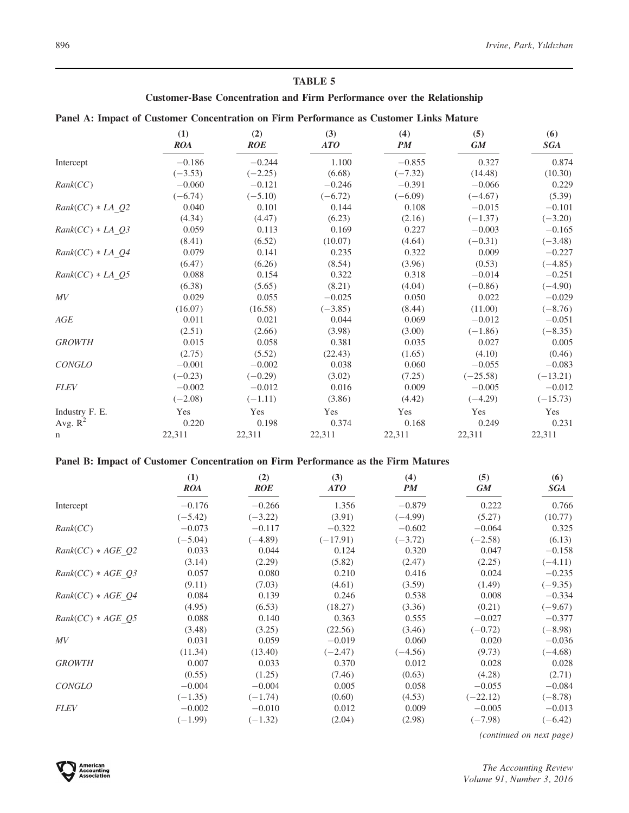Customer-Base Concentration and Firm Performance over the Relationship

### Panel A: Impact of Customer Concentration on Firm Performance as Customer Links Mature

|                    | (1)<br><b>ROA</b> | (2)<br><b>ROE</b> | (3)<br>ATO | (4)<br><b>PM</b> | (5)<br><b>GM</b> | (6)<br><b>SGA</b> |
|--------------------|-------------------|-------------------|------------|------------------|------------------|-------------------|
| Intercept          | $-0.186$          | $-0.244$          | 1.100      | $-0.855$         | 0.327            | 0.874             |
|                    | $(-3.53)$         | $(-2.25)$         | (6.68)     | $(-7.32)$        | (14.48)          | (10.30)           |
| Rank(CC)           | $-0.060$          | $-0.121$          | $-0.246$   | $-0.391$         | $-0.066$         | 0.229             |
|                    | $(-6.74)$         | $(-5.10)$         | $(-6.72)$  | $(-6.09)$        | $(-4.67)$        | (5.39)            |
| $Rank(CC) * LA$ Q2 | 0.040             | 0.101             | 0.144      | 0.108            | $-0.015$         | $-0.101$          |
|                    | (4.34)            | (4.47)            | (6.23)     | (2.16)           | $(-1.37)$        | $(-3.20)$         |
| $Rank(CC) * LA$ Q3 | 0.059             | 0.113             | 0.169      | 0.227            | $-0.003$         | $-0.165$          |
|                    | (8.41)            | (6.52)            | (10.07)    | (4.64)           | $(-0.31)$        | $(-3.48)$         |
| $Rank(CC)*LAQ4$    | 0.079             | 0.141             | 0.235      | 0.322            | 0.009            | $-0.227$          |
|                    | (6.47)            | (6.26)            | (8.54)     | (3.96)           | (0.53)           | $(-4.85)$         |
| $Rank(CC) * LA$ Q5 | 0.088             | 0.154             | 0.322      | 0.318            | $-0.014$         | $-0.251$          |
|                    | (6.38)            | (5.65)            | (8.21)     | (4.04)           | $(-0.86)$        | $(-4.90)$         |
| MV                 | 0.029             | 0.055             | $-0.025$   | 0.050            | 0.022            | $-0.029$          |
|                    | (16.07)           | (16.58)           | $(-3.85)$  | (8.44)           | (11.00)          | $(-8.76)$         |
| AGE                | 0.011             | 0.021             | 0.044      | 0.069            | $-0.012$         | $-0.051$          |
|                    | (2.51)            | (2.66)            | (3.98)     | (3.00)           | $(-1.86)$        | $(-8.35)$         |
| <b>GROWTH</b>      | 0.015             | 0.058             | 0.381      | 0.035            | 0.027            | 0.005             |
|                    | (2.75)            | (5.52)            | (22.43)    | (1.65)           | (4.10)           | (0.46)            |
| <b>CONGLO</b>      | $-0.001$          | $-0.002$          | 0.038      | 0.060            | $-0.055$         | $-0.083$          |
|                    | $(-0.23)$         | $(-0.29)$         | (3.02)     | (7.25)           | $(-25.58)$       | $(-13.21)$        |
| <b>FLEV</b>        | $-0.002$          | $-0.012$          | 0.016      | 0.009            | $-0.005$         | $-0.012$          |
|                    | $(-2.08)$         | $(-1.11)$         | (3.86)     | (4.42)           | $(-4.29)$        | $(-15.73)$        |
| Industry F. E.     | Yes               | Yes               | Yes        | Yes              | Yes              | Yes               |
| Avg. $R^2$         | 0.220             | 0.198             | 0.374      | 0.168            | 0.249            | 0.231             |
| $\mathbf n$        | 22,311            | 22,311            | 22,311     | 22,311           | 22,311           | 22,311            |

### Panel B: Impact of Customer Concentration on Firm Performance as the Firm Matures

|                           | (1)<br><b>ROA</b> | (2)<br><b>ROE</b> | (3)<br>ATO | (4)<br>PM | (5)<br><b>GM</b> | (6)<br>SGA |
|---------------------------|-------------------|-------------------|------------|-----------|------------------|------------|
| Intercept                 | $-0.176$          | $-0.266$          | 1.356      | $-0.879$  | 0.222            | 0.766      |
|                           | $(-5.42)$         | $(-3.22)$         | (3.91)     | $(-4.99)$ | (5.27)           | (10.77)    |
| Rank(CC)                  | $-0.073$          | $-0.117$          | $-0.322$   | $-0.602$  | $-0.064$         | 0.325      |
|                           | $(-5.04)$         | $(-4.89)$         | $(-17.91)$ | $(-3.72)$ | $(-2.58)$        | (6.13)     |
| $Rank(CC) * AGE$ Q2       | 0.033             | 0.044             | 0.124      | 0.320     | 0.047            | $-0.158$   |
|                           | (3.14)            | (2.29)            | (5.82)     | (2.47)    | (2.25)           | $(-4.11)$  |
| $Rank(CC) *AGE$ Q3        | 0.057             | 0.080             | 0.210      | 0.416     | 0.024            | $-0.235$   |
|                           | (9.11)            | (7.03)            | (4.61)     | (3.59)    | (1.49)           | $(-9.35)$  |
| $Rank(CC) *AGE$ <i>Q4</i> | 0.084             | 0.139             | 0.246      | 0.538     | 0.008            | $-0.334$   |
|                           | (4.95)            | (6.53)            | (18.27)    | (3.36)    | (0.21)           | $(-9.67)$  |
| $Rank(CC) * AGE$ Q5       | 0.088             | 0.140             | 0.363      | 0.555     | $-0.027$         | $-0.377$   |
|                           | (3.48)            | (3.25)            | (22.56)    | (3.46)    | $(-0.72)$        | $(-8.98)$  |
| MV                        | 0.031             | 0.059             | $-0.019$   | 0.060     | 0.020            | $-0.036$   |
|                           | (11.34)           | (13.40)           | $(-2.47)$  | $(-4.56)$ | (9.73)           | $(-4.68)$  |
| <b>GROWTH</b>             | 0.007             | 0.033             | 0.370      | 0.012     | 0.028            | 0.028      |
|                           | (0.55)            | (1.25)            | (7.46)     | (0.63)    | (4.28)           | (2.71)     |
| <b>CONGLO</b>             | $-0.004$          | $-0.004$          | 0.005      | 0.058     | $-0.055$         | $-0.084$   |
|                           | $(-1.35)$         | $(-1.74)$         | (0.60)     | (4.53)    | $(-22.12)$       | $(-8.78)$  |
| <b>FLEV</b>               | $-0.002$          | $-0.010$          | 0.012      | 0.009     | $-0.005$         | $-0.013$   |
|                           | $(-1.99)$         | $(-1.32)$         | (2.04)     | (2.98)    | $(-7.98)$        | $(-6.42)$  |

(continued on next page)

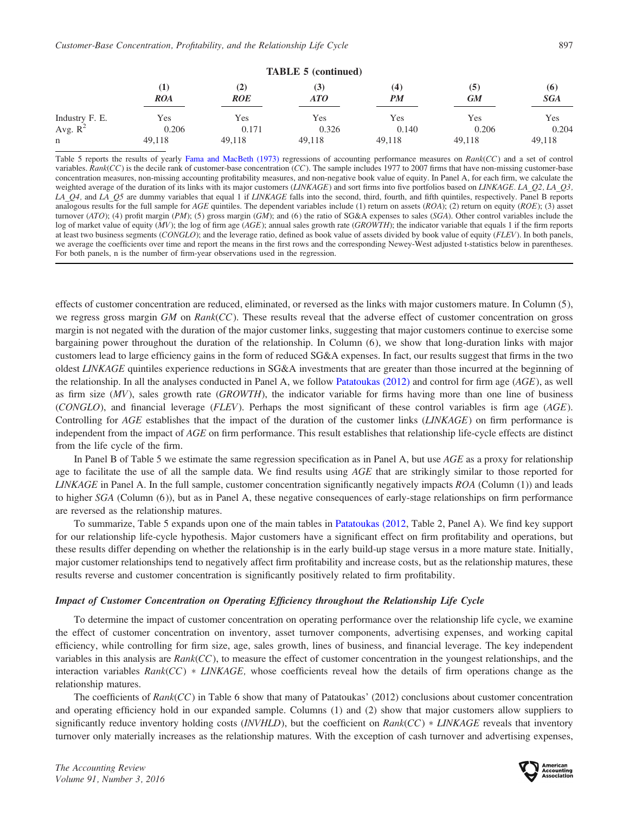|                              |            |                   | <b>TABLE 5 (continued)</b> |           |           |                   |
|------------------------------|------------|-------------------|----------------------------|-----------|-----------|-------------------|
|                              | <b>ROA</b> | (2)<br><b>ROE</b> | (3)<br>ATO                 | (4)<br>PM | (5)<br>GM | (6)<br><b>SGA</b> |
| Industry F. E.<br>Avg. $R^2$ | Yes        | Yes               | Yes                        | Yes       | Yes       | Yes               |
|                              | 0.206      | 0.171             | 0.326                      | 0.140     | 0.206     | 0.204             |
| $\mathbf n$                  | 49,118     | 49,118            | 49,118                     | 49,118    | 49.118    | 49,118            |

Table 5 reports the results of yearly [Fama and MacBeth \(1973\)](#page-23-0) regressions of accounting performance measures on Rank(CC) and a set of control variables.  $Rank(CC)$  is the decile rank of customer-base concentration (CC). The sample includes 1977 to 2007 firms that have non-missing customer-base concentration measures, non-missing accounting profitability measures, and non-negative book value of equity. In Panel A, for each firm, we calculate the weighted average of the duration of its links with its major customers (LINKAGE) and sort firms into five portfolios based on LINKAGE. LA\_Q2, LA\_Q3, LA Q4, and LA Q5 are dummy variables that equal 1 if LINKAGE falls into the second, third, fourth, and fifth quintiles, respectively. Panel B reports analogous results for the full sample for AGE quintiles. The dependent variables include (1) return on assets  $(ROA)$ ; (2) return on equity  $(ROE)$ ; (3) asset turnover (ATO); (4) profit margin (PM); (5) gross margin (GM); and (6) the ratio of SG&A expenses to sales (SGA). Other control variables include the log of market value of equity ( $MV$ ); the log of firm age ( $AGE$ ); annual sales growth rate ( $GROWTH$ ); the indicator variable that equals 1 if the firm reports at least two business segments (CONGLO); and the leverage ratio, defined as book value of assets divided by book value of equity (FLEV). In both panels, we average the coefficients over time and report the means in the first rows and the corresponding Newey-West adjusted t-statistics below in parentheses. For both panels, n is the number of firm-year observations used in the regression.

effects of customer concentration are reduced, eliminated, or reversed as the links with major customers mature. In Column (5), we regress gross margin GM on Rank(CC). These results reveal that the adverse effect of customer concentration on gross margin is not negated with the duration of the major customer links, suggesting that major customers continue to exercise some bargaining power throughout the duration of the relationship. In Column (6), we show that long-duration links with major customers lead to large efficiency gains in the form of reduced SG&A expenses. In fact, our results suggest that firms in the two oldest LINKAGE quintiles experience reductions in SG&A investments that are greater than those incurred at the beginning of the relationship. In all the analyses conducted in Panel A, we follow [Patatoukas \(2012\)](#page-23-0) and control for firm age (AGE), as well as firm size  $(MV)$ , sales growth rate  $(GROWTH)$ , the indicator variable for firms having more than one line of business (CONGLO), and financial leverage (FLEV). Perhaps the most significant of these control variables is firm age (AGE). Controlling for AGE establishes that the impact of the duration of the customer links (LINKAGE) on firm performance is independent from the impact of AGE on firm performance. This result establishes that relationship life-cycle effects are distinct from the life cycle of the firm.

In Panel B of Table 5 we estimate the same regression specification as in Panel A, but use  $AGE$  as a proxy for relationship age to facilitate the use of all the sample data. We find results using AGE that are strikingly similar to those reported for  $LINKAGE$  in Panel A. In the full sample, customer concentration significantly negatively impacts  $ROA$  (Column  $(1)$ ) and leads to higher SGA (Column (6)), but as in Panel A, these negative consequences of early-stage relationships on firm performance are reversed as the relationship matures.

To summarize, Table 5 expands upon one of the main tables in [Patatoukas \(2012](#page-23-0), Table 2, Panel A). We find key support for our relationship life-cycle hypothesis. Major customers have a significant effect on firm profitability and operations, but these results differ depending on whether the relationship is in the early build-up stage versus in a more mature state. Initially, major customer relationships tend to negatively affect firm profitability and increase costs, but as the relationship matures, these results reverse and customer concentration is significantly positively related to firm profitability.

#### Impact of Customer Concentration on Operating Efficiency throughout the Relationship Life Cycle

To determine the impact of customer concentration on operating performance over the relationship life cycle, we examine the effect of customer concentration on inventory, asset turnover components, advertising expenses, and working capital efficiency, while controlling for firm size, age, sales growth, lines of business, and financial leverage. The key independent variables in this analysis are  $Rank(CC)$ , to measure the effect of customer concentration in the youngest relationships, and the interaction variables  $Rank(CC) * LINKAGE$ , whose coefficients reveal how the details of firm operations change as the relationship matures.

The coefficients of Rank(CC) in Table 6 show that many of Patatoukas' (2012) conclusions about customer concentration and operating efficiency hold in our expanded sample. Columns (1) and (2) show that major customers allow suppliers to significantly reduce inventory holding costs (INVHLD), but the coefficient on  $Rank(CC) * LINKAGE$  reveals that inventory turnover only materially increases as the relationship matures. With the exception of cash turnover and advertising expenses,

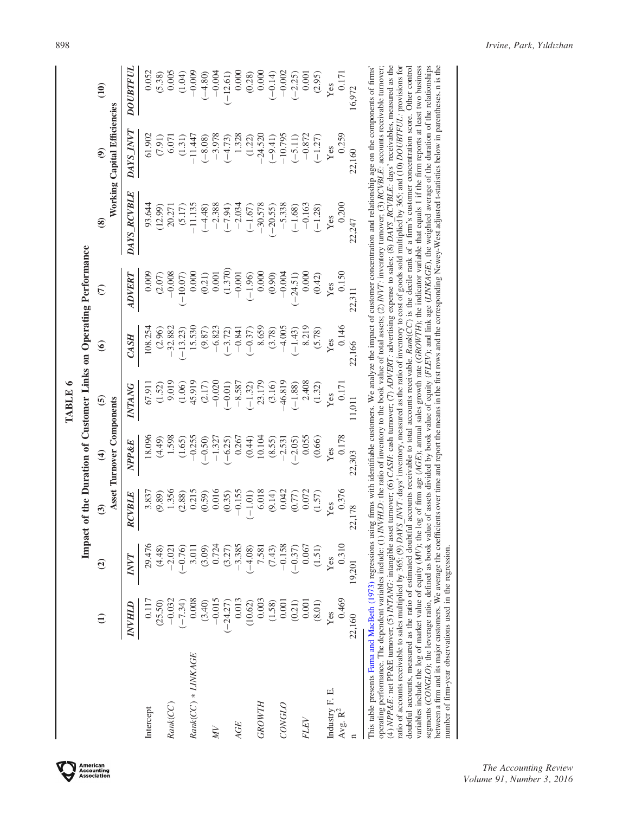| $\widehat{\Xi}$ | $\widehat{\mathbf{c}}$ | ල          | $\widehat{\mathcal{A}}$                                                                                                                                                                                                                                                               | $\widehat{\mathbf{e}}$                                                                                                                                | $\widehat{\bullet}$                                                                                                                                                                                | $\widehat{C}$                                                                                                                                                                                                                      | ම                                                                                                                                                                                                                                                 | ම                                                                                                                                                                                         | $\widehat{\Xi}$                                                                                                                                                                                                                                                                                                                                                                                                                                                                                                                                                                                                                                                                                                                                                                     |
|-----------------|------------------------|------------|---------------------------------------------------------------------------------------------------------------------------------------------------------------------------------------------------------------------------------------------------------------------------------------|-------------------------------------------------------------------------------------------------------------------------------------------------------|----------------------------------------------------------------------------------------------------------------------------------------------------------------------------------------------------|------------------------------------------------------------------------------------------------------------------------------------------------------------------------------------------------------------------------------------|---------------------------------------------------------------------------------------------------------------------------------------------------------------------------------------------------------------------------------------------------|-------------------------------------------------------------------------------------------------------------------------------------------------------------------------------------------|-------------------------------------------------------------------------------------------------------------------------------------------------------------------------------------------------------------------------------------------------------------------------------------------------------------------------------------------------------------------------------------------------------------------------------------------------------------------------------------------------------------------------------------------------------------------------------------------------------------------------------------------------------------------------------------------------------------------------------------------------------------------------------------|
|                 |                        |            |                                                                                                                                                                                                                                                                                       |                                                                                                                                                       |                                                                                                                                                                                                    |                                                                                                                                                                                                                                    |                                                                                                                                                                                                                                                   |                                                                                                                                                                                           |                                                                                                                                                                                                                                                                                                                                                                                                                                                                                                                                                                                                                                                                                                                                                                                     |
| <i>INVHLD</i>   | <b>INNT</b>            | CVBLE<br>Ř | NPP&E                                                                                                                                                                                                                                                                                 | <b>INTANG</b>                                                                                                                                         | CASH                                                                                                                                                                                               | ADVERT                                                                                                                                                                                                                             | DAYS RCVBLE                                                                                                                                                                                                                                       | <b>DAYS_INV7</b>                                                                                                                                                                          | <b>DOUBTFUI</b>                                                                                                                                                                                                                                                                                                                                                                                                                                                                                                                                                                                                                                                                                                                                                                     |
| 0.117           | 29,476                 |            | 18.09                                                                                                                                                                                                                                                                                 |                                                                                                                                                       |                                                                                                                                                                                                    |                                                                                                                                                                                                                                    |                                                                                                                                                                                                                                                   |                                                                                                                                                                                           |                                                                                                                                                                                                                                                                                                                                                                                                                                                                                                                                                                                                                                                                                                                                                                                     |
| (25.50)         | (4.48)                 |            |                                                                                                                                                                                                                                                                                       |                                                                                                                                                       |                                                                                                                                                                                                    |                                                                                                                                                                                                                                    |                                                                                                                                                                                                                                                   |                                                                                                                                                                                           |                                                                                                                                                                                                                                                                                                                                                                                                                                                                                                                                                                                                                                                                                                                                                                                     |
| $-0.032$        | $-2.021$               |            |                                                                                                                                                                                                                                                                                       |                                                                                                                                                       |                                                                                                                                                                                                    |                                                                                                                                                                                                                                    | 20.271                                                                                                                                                                                                                                            |                                                                                                                                                                                           | $\begin{array}{c} 0.052 \\ (5.38) \\ 0.005 \end{array}$                                                                                                                                                                                                                                                                                                                                                                                                                                                                                                                                                                                                                                                                                                                             |
| $(-7.34)$       | $(-0.76)$              |            |                                                                                                                                                                                                                                                                                       |                                                                                                                                                       |                                                                                                                                                                                                    |                                                                                                                                                                                                                                    |                                                                                                                                                                                                                                                   |                                                                                                                                                                                           |                                                                                                                                                                                                                                                                                                                                                                                                                                                                                                                                                                                                                                                                                                                                                                                     |
| 0.008           | 3.011                  |            |                                                                                                                                                                                                                                                                                       |                                                                                                                                                       |                                                                                                                                                                                                    |                                                                                                                                                                                                                                    | $-11.135$                                                                                                                                                                                                                                         |                                                                                                                                                                                           | (1.04)                                                                                                                                                                                                                                                                                                                                                                                                                                                                                                                                                                                                                                                                                                                                                                              |
| (3.40)          | (3.09)                 |            |                                                                                                                                                                                                                                                                                       |                                                                                                                                                       |                                                                                                                                                                                                    |                                                                                                                                                                                                                                    |                                                                                                                                                                                                                                                   |                                                                                                                                                                                           | $(-4.80)$                                                                                                                                                                                                                                                                                                                                                                                                                                                                                                                                                                                                                                                                                                                                                                           |
| $-0.015$        | 0.724                  |            |                                                                                                                                                                                                                                                                                       |                                                                                                                                                       |                                                                                                                                                                                                    |                                                                                                                                                                                                                                    |                                                                                                                                                                                                                                                   |                                                                                                                                                                                           | $-0.004$                                                                                                                                                                                                                                                                                                                                                                                                                                                                                                                                                                                                                                                                                                                                                                            |
| $-24.27$        | (3.27)                 |            |                                                                                                                                                                                                                                                                                       |                                                                                                                                                       |                                                                                                                                                                                                    |                                                                                                                                                                                                                                    |                                                                                                                                                                                                                                                   |                                                                                                                                                                                           | $(-12.61)$                                                                                                                                                                                                                                                                                                                                                                                                                                                                                                                                                                                                                                                                                                                                                                          |
| 0.013           | $-3.385$               |            |                                                                                                                                                                                                                                                                                       |                                                                                                                                                       |                                                                                                                                                                                                    |                                                                                                                                                                                                                                    |                                                                                                                                                                                                                                                   |                                                                                                                                                                                           |                                                                                                                                                                                                                                                                                                                                                                                                                                                                                                                                                                                                                                                                                                                                                                                     |
| (10.62)         | $-4.08$                |            |                                                                                                                                                                                                                                                                                       |                                                                                                                                                       |                                                                                                                                                                                                    |                                                                                                                                                                                                                                    | $(-1.67)$                                                                                                                                                                                                                                         |                                                                                                                                                                                           |                                                                                                                                                                                                                                                                                                                                                                                                                                                                                                                                                                                                                                                                                                                                                                                     |
| 0.003           | 7.581                  |            |                                                                                                                                                                                                                                                                                       |                                                                                                                                                       |                                                                                                                                                                                                    |                                                                                                                                                                                                                                    |                                                                                                                                                                                                                                                   |                                                                                                                                                                                           | $0.000$<br>$(0.28)$<br>$0.000$                                                                                                                                                                                                                                                                                                                                                                                                                                                                                                                                                                                                                                                                                                                                                      |
| (1.58)          | (7.43)                 |            |                                                                                                                                                                                                                                                                                       |                                                                                                                                                       |                                                                                                                                                                                                    |                                                                                                                                                                                                                                    | $(-20.55)$                                                                                                                                                                                                                                        |                                                                                                                                                                                           |                                                                                                                                                                                                                                                                                                                                                                                                                                                                                                                                                                                                                                                                                                                                                                                     |
| 0.001           | $-0.158$               |            |                                                                                                                                                                                                                                                                                       |                                                                                                                                                       |                                                                                                                                                                                                    |                                                                                                                                                                                                                                    |                                                                                                                                                                                                                                                   |                                                                                                                                                                                           |                                                                                                                                                                                                                                                                                                                                                                                                                                                                                                                                                                                                                                                                                                                                                                                     |
| (0.21)          | $(-0.37)$              |            |                                                                                                                                                                                                                                                                                       |                                                                                                                                                       |                                                                                                                                                                                                    |                                                                                                                                                                                                                                    |                                                                                                                                                                                                                                                   |                                                                                                                                                                                           | $\begin{array}{c} (-0.14) \\ -0.002 \\ (-2.25) \\ 0.001 \end{array}$                                                                                                                                                                                                                                                                                                                                                                                                                                                                                                                                                                                                                                                                                                                |
| 0.001           | 0.067                  |            | 0.055                                                                                                                                                                                                                                                                                 |                                                                                                                                                       |                                                                                                                                                                                                    |                                                                                                                                                                                                                                    |                                                                                                                                                                                                                                                   |                                                                                                                                                                                           |                                                                                                                                                                                                                                                                                                                                                                                                                                                                                                                                                                                                                                                                                                                                                                                     |
| (8.01)          | (1.51)                 | (1.57)     | (0.66)                                                                                                                                                                                                                                                                                | (1.32)                                                                                                                                                |                                                                                                                                                                                                    | (0.42)                                                                                                                                                                                                                             | $(-1.28)$                                                                                                                                                                                                                                         |                                                                                                                                                                                           | (2.95)                                                                                                                                                                                                                                                                                                                                                                                                                                                                                                                                                                                                                                                                                                                                                                              |
| Yes             | Yes                    | Yes        | Yes                                                                                                                                                                                                                                                                                   | $\mathbf{Yes}$                                                                                                                                        | Yes                                                                                                                                                                                                | Yes                                                                                                                                                                                                                                | Yes                                                                                                                                                                                                                                               | Yes                                                                                                                                                                                       | Yes                                                                                                                                                                                                                                                                                                                                                                                                                                                                                                                                                                                                                                                                                                                                                                                 |
| 0.469           | 0.310                  | 0.376      | 0.178                                                                                                                                                                                                                                                                                 |                                                                                                                                                       | 0.14                                                                                                                                                                                               |                                                                                                                                                                                                                                    | 0.200                                                                                                                                                                                                                                             | 0.259                                                                                                                                                                                     | 0.171                                                                                                                                                                                                                                                                                                                                                                                                                                                                                                                                                                                                                                                                                                                                                                               |
| 22,160          | 19,201                 | 178<br>22. | 22,303                                                                                                                                                                                                                                                                                | 1.011                                                                                                                                                 | 22,166                                                                                                                                                                                             | 22,311                                                                                                                                                                                                                             | 22,247                                                                                                                                                                                                                                            | 22,160                                                                                                                                                                                    | 16,972                                                                                                                                                                                                                                                                                                                                                                                                                                                                                                                                                                                                                                                                                                                                                                              |
|                 |                        |            |                                                                                                                                                                                                                                                                                       |                                                                                                                                                       |                                                                                                                                                                                                    |                                                                                                                                                                                                                                    |                                                                                                                                                                                                                                                   |                                                                                                                                                                                           |                                                                                                                                                                                                                                                                                                                                                                                                                                                                                                                                                                                                                                                                                                                                                                                     |
|                 |                        |            | $\begin{array}{c} 1.356 \\ 2.88) \\ 0.215 \\ 0.69) \\ 0.016 \end{array}$<br>$\begin{array}{c} (0.35) \\ -0.155 \\ (-1.01) \\ 6.018 \\ 0.042 \\ 0.077) \\ (0.77) \\ 0.072 \end{array}$<br>3.837<br>(9.89)<br>Impact o<br>This table presents Fama and MacBeth (1973) regressions using | $1.598$<br>$(1.65)$<br>$-0.255$<br>$(-0.50)$<br>$(0.44)$<br>$10.104$<br>$(8.55)$<br>$-2.531$<br>$(-2.05)$<br>$-1.327$<br>$(-6.25)$<br>0.267<br>(4.49) | $(3.16)$<br>-46.819<br>(-1.88)<br>9.019<br>(1.06)<br>(45.919<br>45.919<br>(-0.01)<br>(-0.01)<br>(-8.587<br>2.408<br>$(-1.32)$<br>23.179<br>$67.911$<br>(1.52)<br>0.17<br>Asset Turnover Components | $\begin{array}{r} -32.882 \\ (-13.23) \\ 15.530 \\ 0.87) \end{array}$<br>$\begin{array}{r} -6.823 \\ (-3.72) \\ (-0.37) \\ (-0.37) \\ (0.37) \\ (3.78) \\ (3.78) \\ (-1.43) \\ (-1.43) \end{array}$<br>(5.78)<br>(2.96)<br>108.254 | $\begin{array}{r} -0.008 \\ -10.07) \\ 0.000 \\ 0.21) \\ 0.01 \\ 0.01 \\ -0.001 \\ -0.001 \\ \end{array}$<br>$0.000\,$<br>0.009<br>$\begin{array}{c} (0.90) \\ -0.004 \\ \text{--}24.51) \\ \text{--}24.51 \end{array}$<br>(2.07)<br><b>TABLE</b> | 93.644<br>$-30.578$<br>$-5.338$<br>$-2.388$<br>$(-7.94)$<br>-2.034<br>$(-1.68)$<br>-0.163<br>(12.99)<br>$(-4.48)$<br>(5.17)<br>of the Duration of Customer Links on Operating Performance | operating performance. The dependent variables include: (1) INVHLD: the ratio of inventory to the book value of total assets; (2) INVT: inventory turnover; (3) RCVBLE: accounts receivable turnover;<br>(4) NPP&E: net PP&E turnover; (5) INTANG: intangible asset turnover; (6) CASH: cash turnover; (7) ADVERT: advertising expense to sales; (8) DAYS_RCVBLE: days' receivables, measured as the<br>firms with identifiable customers. We analyze the impact of customer concentration and relationship age on the components of firms<br>Working Capital Efficiencies<br>61.902<br>$1.328\n(1.22)\n(1.23)\n(1.23)\n(1.23)\n(1.23)\n(1.24)\n(1.295)\n(1.995)$<br>$-3.978$<br>(-4.73)<br>$6.071$<br>(1.31)<br>-11.447<br>$(-8.08)$<br>$(-5.11)$<br>-0.872<br>$(-1.27)$<br>(7.91) |

ratio of accounts receivable to sales multiplied by 365; (9) DAYS\_INVT: days' inventory, measured as the ratio of inventory to cost of goods sold multiplied by 365; and (10) DOUBTFUL: provisions for doubtful accounts, measured as the ratio of estimated doubtful accounts receivable to total accounts receivable. Rank(CC) is the decile rank of a firm's customer concentration score. Other control variables include the log of market value of equity (MV); the log of firm age (AGE); annual sales growth rate (GROWTH); the indicator variable that equals 1 if the firm reports at least two business segments (CONGLO); the leverage ratio, defined as book value of assets divided by book value of equity (FLEV); and link age (LINKAGE), the weighted average of the duration of the relationships between a firm and its major customers. We average the coefficients over time and report the means in the first rows and the corresponding Newey-West adjusted t-statistics below in parentheses. n is the

ratio of accounts receivable to sales multiplied by 365; (9) DAYS\_INVT: days' inventory, measured as the ratio of inventory to cost of goods sold multiplied by 365; and (10) DOUBTFUL: provisions for doubtful accounts, measured as the ratio of estimated doubtful accounts receivable to total accounts receivable. Rank(CC) is the decile rank of a firm's customer concentration score. Other control

variables include the log of market value of equity (MV); the log of firm age (AGE); annual sales growth rate (GROWTH); the indicator variable that equals 1 if the firm reports at least two business segments (CONGLO); the

between a firm and its major customers. We average the coefficients over time and report the means in the first rows and the corresponding Newey-West adjusted t-statistics below in parentheses. n is the

number of firm-year observations used in the regression.

number of firm-year observations used in the regression.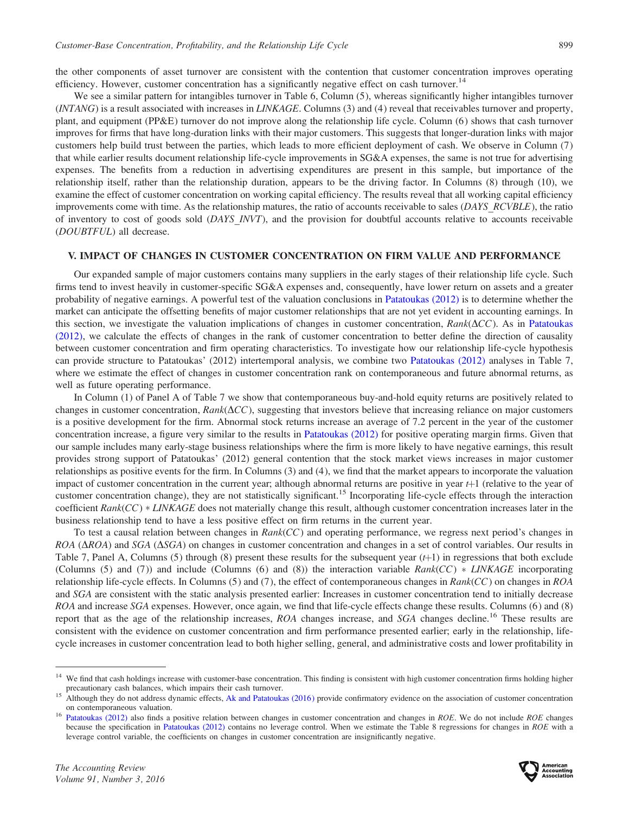the other components of asset turnover are consistent with the contention that customer concentration improves operating efficiency. However, customer concentration has a significantly negative effect on cash turnover.<sup>14</sup>

We see a similar pattern for intangibles turnover in Table 6, Column (5), whereas significantly higher intangibles turnover  $(INTANG)$  is a result associated with increases in  $LINKAGE$ . Columns (3) and (4) reveal that receivables turnover and property, plant, and equipment (PP&E) turnover do not improve along the relationship life cycle. Column (6) shows that cash turnover improves for firms that have long-duration links with their major customers. This suggests that longer-duration links with major customers help build trust between the parties, which leads to more efficient deployment of cash. We observe in Column (7) that while earlier results document relationship life-cycle improvements in SG&A expenses, the same is not true for advertising expenses. The benefits from a reduction in advertising expenditures are present in this sample, but importance of the relationship itself, rather than the relationship duration, appears to be the driving factor. In Columns (8) through (10), we examine the effect of customer concentration on working capital efficiency. The results reveal that all working capital efficiency improvements come with time. As the relationship matures, the ratio of accounts receivable to sales (DAYS\_RCVBLE), the ratio of inventory to cost of goods sold (DAYS INVT), and the provision for doubtful accounts relative to accounts receivable (DOUBTFUL) all decrease.

#### V. IMPACT OF CHANGES IN CUSTOMER CONCENTRATION ON FIRM VALUE AND PERFORMANCE

Our expanded sample of major customers contains many suppliers in the early stages of their relationship life cycle. Such firms tend to invest heavily in customer-specific SG&A expenses and, consequently, have lower return on assets and a greater probability of negative earnings. A powerful test of the valuation conclusions in [Patatoukas \(2012\)](#page-23-0) is to determine whether the market can anticipate the offsetting benefits of major customer relationships that are not yet evident in accounting earnings. In this section, we investigate the valuation implications of changes in customer concentration,  $Rank(\Delta CC)$ . As in [Patatoukas](#page-23-0) [\(2012\)](#page-23-0), we calculate the effects of changes in the rank of customer concentration to better define the direction of causality between customer concentration and firm operating characteristics. To investigate how our relationship life-cycle hypothesis can provide structure to Patatoukas' (2012) intertemporal analysis, we combine two [Patatoukas \(2012\)](#page-23-0) analyses in Table 7, where we estimate the effect of changes in customer concentration rank on contemporaneous and future abnormal returns, as well as future operating performance.

In Column (1) of Panel A of Table 7 we show that contemporaneous buy-and-hold equity returns are positively related to changes in customer concentration,  $Rank(\Delta CC)$ , suggesting that investors believe that increasing reliance on major customers is a positive development for the firm. Abnormal stock returns increase an average of 7.2 percent in the year of the customer concentration increase, a figure very similar to the results in [Patatoukas \(2012\)](#page-23-0) for positive operating margin firms. Given that our sample includes many early-stage business relationships where the firm is more likely to have negative earnings, this result provides strong support of Patatoukas' (2012) general contention that the stock market views increases in major customer relationships as positive events for the firm. In Columns (3) and (4), we find that the market appears to incorporate the valuation impact of customer concentration in the current year; although abnormal returns are positive in year  $t+1$  (relative to the year of customer concentration change), they are not statistically significant.<sup>15</sup> Incorporating life-cycle effects through the interaction coefficient  $Rank(CC) * LINKAGE$  does not materially change this result, although customer concentration increases later in the business relationship tend to have a less positive effect on firm returns in the current year.

To test a causal relation between changes in Rank(CC) and operating performance, we regress next period's changes in  $ROA (\Delta ROA)$  and  $SGA (\Delta SGA)$  on changes in customer concentration and changes in a set of control variables. Our results in Table 7, Panel A, Columns (5) through (8) present these results for the subsequent year  $(t+1)$  in regressions that both exclude (Columns (5) and (7)) and include (Columns (6) and (8)) the interaction variable  $Rank(CC) * LINKAGE$  incorporating relationship life-cycle effects. In Columns  $(5)$  and  $(7)$ , the effect of contemporaneous changes in Rank( $CC$ ) on changes in ROA and SGA are consistent with the static analysis presented earlier: Increases in customer concentration tend to initially decrease ROA and increase SGA expenses. However, once again, we find that life-cycle effects change these results. Columns (6) and (8) report that as the age of the relationship increases, ROA changes increase, and SGA changes decline.<sup>16</sup> These results are consistent with the evidence on customer concentration and firm performance presented earlier; early in the relationship, lifecycle increases in customer concentration lead to both higher selling, general, and administrative costs and lower profitability in



<sup>&</sup>lt;sup>14</sup> We find that cash holdings increase with customer-base concentration. This finding is consistent with high customer concentration firms holding higher precautionary cash balances, which impairs their cash turnover.<br><sup>15</sup> Although they do not address dynamic effects, [Ak and Patatoukas \(2016\)](#page-22-0) provide confirmatory evidence on the association of customer concentration

on contemporaneous valuation.<br><sup>16</sup> [Patatoukas \(2012\)](#page-23-0) also finds a positive relation between changes in customer concentration and changes in ROE. We do not include ROE changes

because the specification in [Patatoukas \(2012\)](#page-23-0) contains no leverage control. When we estimate the Table 8 regressions for changes in ROE with a leverage control variable, the coefficients on changes in customer concentration are insignificantly negative.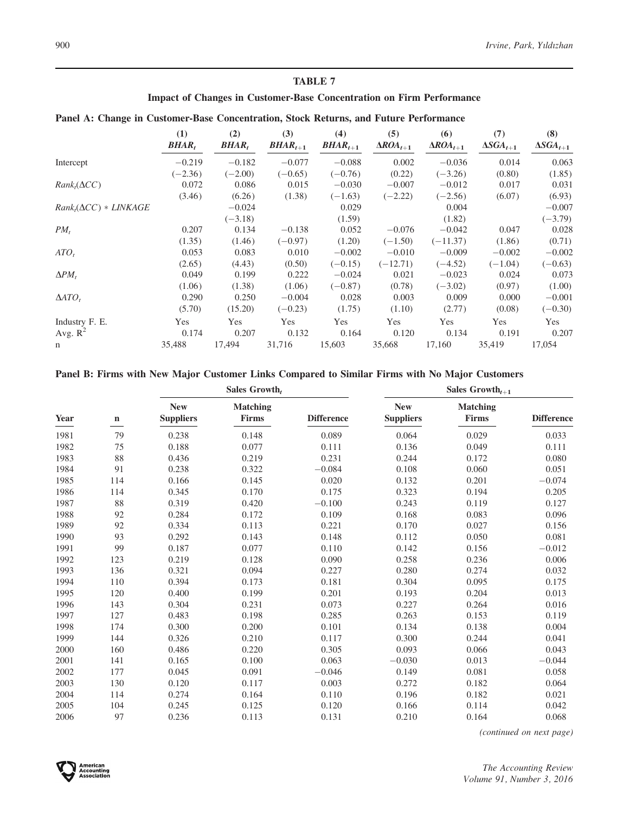$(-3.79)$ 

 $-0.002$ 

 $(-0.63)$ 

 $-0.001$ 

 $(-0.30)$ 

0.042 0.047 0.028

0.023 0.024 0.073

 $(0.97)$   $(1.00)$ 

 $(1.86)$   $(0.71)$ 

 $-0.002$ 

 $(-1.04)$ 

#### Panel A: Change in Customer-Base Concentration, Stock Returns, and Future Performance (1)  $BHAR_t$ (2)  $BHAR_t$ (3)  $BHAR_{t+1}$ (4)  $BHAR_{t+1}$ (5)  $\triangle ROA_{t+1}$ (6)  $\triangle ROA_{t+1}$ (7)  $\Delta SGA_{t+1}$ (8)  $\Delta SGA_{t+1}$ Intercept  $-0.219$  $-0.182$  $-0.077$   $-0.088$  $0.002 -0.036$ 0.0014 0.063  $(-2.36)$   $( (-2.00)$  $(-0.65)$   $(-0.76)$  $(0.22)$   $(-3.26)$  $(0.80)$   $(1.85)$  $Rank_t(\Delta CC)$  0.072 0.086 0.015  $-0.030$  $-0.007$   $-0.012$ 0.012 0.017 0.031  $(3.46)$   $(6.26)$   $(1.38)$  $(-1.63)$  $(-2.22)$   $(-2.56)$  $(6.07)$   $(6.93)$  $Rank_t(\Delta CC) * LINKAGE$  -0.024  $0.024$  0.029 0.004 –  $-0.007$

 $-0.138$  0.052

 $(1.20)$ 

 $-0.002$ 

 $(-0.15)$ 

 $(1.59)$   $(1.82)$   $(-$ 

 $-0.010$ 

 $-0.024$   $0.021$   $-0.023$ 

 $(-12.71)$ 

 $-0.076$   $-0.042$ 

 $(-1.50)$   $(-11.37)$ 

 $(0.78)$   $(-3.02)$ 

 $0.004$   $0.028$   $0.003$   $0.009$   $0.000$   $-$ 

 $(0.23)$   $(1.75)$   $(1.10)$   $(2.77)$   $(0.08)$   $(-$ 

 $-0.009$ 

 $(-4.52)$ 

#### TABLE 7

Impact of Changes in Customer-Base Concentration on Firm Performance

 $(-3.18)$ 

 $(1.35)$   $(1.46)$   $(-0.97)$ 

 $(2.65)$   $(4.43)$   $(0.50)$ 

 $(5.70)$   $(15.20)$   $(-0.23)$ 

 $(1.06)$   $(1.38)$   $(1.06)$   $(-0.87)$ 

 $PM_t$  0.207 0.134 –

 $\Delta ATO_t$  0.290 0.250 -

 $ATO_t$  0.053 0.083 0.010 -

 $\Delta PM_t$  0.049 0.199 0.222 –

# Panel B: Firms with New Major Customer Links Compared to Similar Firms with No Major Customers

Industry F. E. Yes Yes Yes Yes Yes Yes Yes Yes Avg.  $R^2$  0.174 0.207 0.132 0.164 0.120 0.134 0.191 0.207 n 35,488 17,494 31,716 15,603 35,668 17,160 35,419 17,054

|      |             | Sales Growth                   |                                 |                   | Sales $Growth_{t+1}$           |                                 |                   |  |
|------|-------------|--------------------------------|---------------------------------|-------------------|--------------------------------|---------------------------------|-------------------|--|
| Year | $\mathbf n$ | <b>New</b><br><b>Suppliers</b> | <b>Matching</b><br><b>Firms</b> | <b>Difference</b> | <b>New</b><br><b>Suppliers</b> | <b>Matching</b><br><b>Firms</b> | <b>Difference</b> |  |
| 1981 | 79          | 0.238                          | 0.148                           | 0.089             | 0.064                          | 0.029                           | 0.033             |  |
| 1982 | 75          | 0.188                          | 0.077                           | 0.111             | 0.136                          | 0.049                           | 0.111             |  |
| 1983 | 88          | 0.436                          | 0.219                           | 0.231             | 0.244                          | 0.172                           | 0.080             |  |
| 1984 | 91          | 0.238                          | 0.322                           | $-0.084$          | 0.108                          | 0.060                           | 0.051             |  |
| 1985 | 114         | 0.166                          | 0.145                           | 0.020             | 0.132                          | 0.201                           | $-0.074$          |  |
| 1986 | 114         | 0.345                          | 0.170                           | 0.175             | 0.323                          | 0.194                           | 0.205             |  |
| 1987 | 88          | 0.319                          | 0.420                           | $-0.100$          | 0.243                          | 0.119                           | 0.127             |  |
| 1988 | 92          | 0.284                          | 0.172                           | 0.109             | 0.168                          | 0.083                           | 0.096             |  |
| 1989 | 92          | 0.334                          | 0.113                           | 0.221             | 0.170                          | 0.027                           | 0.156             |  |
| 1990 | 93          | 0.292                          | 0.143                           | 0.148             | 0.112                          | 0.050                           | 0.081             |  |
| 1991 | 99          | 0.187                          | 0.077                           | 0.110             | 0.142                          | 0.156                           | $-0.012$          |  |
| 1992 | 123         | 0.219                          | 0.128                           | 0.090             | 0.258                          | 0.236                           | 0.006             |  |
| 1993 | 136         | 0.321                          | 0.094                           | 0.227             | 0.280                          | 0.274                           | 0.032             |  |
| 1994 | 110         | 0.394                          | 0.173                           | 0.181             | 0.304                          | 0.095                           | 0.175             |  |
| 1995 | 120         | 0.400                          | 0.199                           | 0.201             | 0.193                          | 0.204                           | 0.013             |  |
| 1996 | 143         | 0.304                          | 0.231                           | 0.073             | 0.227                          | 0.264                           | 0.016             |  |
| 1997 | 127         | 0.483                          | 0.198                           | 0.285             | 0.263                          | 0.153                           | 0.119             |  |
| 1998 | 174         | 0.300                          | 0.200                           | 0.101             | 0.134                          | 0.138                           | 0.004             |  |
| 1999 | 144         | 0.326                          | 0.210                           | 0.117             | 0.300                          | 0.244                           | 0.041             |  |
| 2000 | 160         | 0.486                          | 0.220                           | 0.305             | 0.093                          | 0.066                           | 0.043             |  |
| 2001 | 141         | 0.165                          | 0.100                           | 0.063             | $-0.030$                       | 0.013                           | $-0.044$          |  |
| 2002 | 177         | 0.045                          | 0.091                           | $-0.046$          | 0.149                          | 0.081                           | 0.058             |  |
| 2003 | 130         | 0.120                          | 0.117                           | 0.003             | 0.272                          | 0.182                           | 0.064             |  |
| 2004 | 114         | 0.274                          | 0.164                           | 0.110             | 0.196                          | 0.182                           | 0.021             |  |
| 2005 | 104         | 0.245                          | 0.125                           | 0.120             | 0.166                          | 0.114                           | 0.042             |  |
| 2006 | 97          | 0.236                          | 0.113                           | 0.131             | 0.210                          | 0.164                           | 0.068             |  |

(continued on next page)



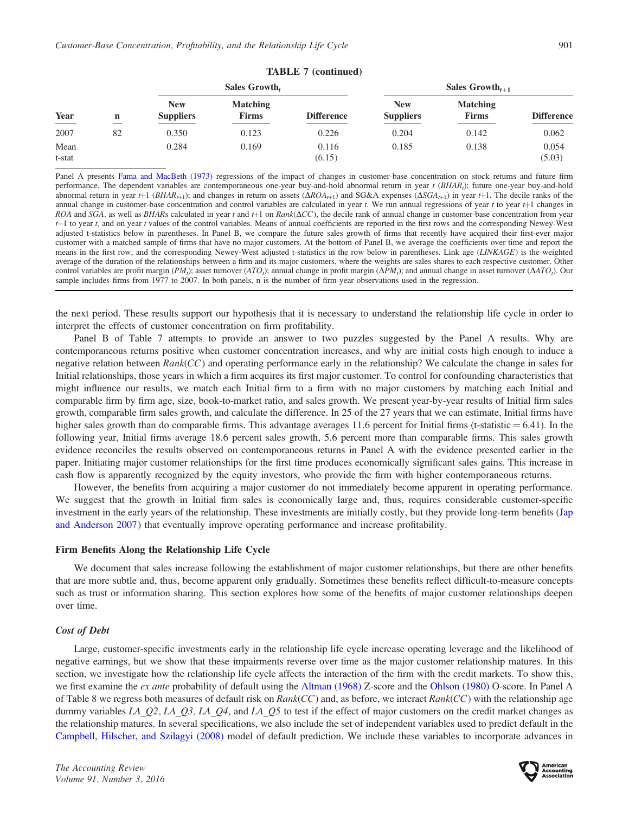|        |    |                                | $1 \Delta D L L$ / (continued) |                   |                                          |                                 |                   |  |
|--------|----|--------------------------------|--------------------------------|-------------------|------------------------------------------|---------------------------------|-------------------|--|
|        |    | Sales Growth,                  |                                |                   | Sales Growth <sub><math>t+1</math></sub> |                                 |                   |  |
| Year   | n  | <b>New</b><br><b>Suppliers</b> | <b>Matching</b><br>Firms       | <b>Difference</b> | <b>New</b><br><b>Suppliers</b>           | <b>Matching</b><br><b>Firms</b> | <b>Difference</b> |  |
| 2007   | 82 | 0.350                          | 0.123                          | 0.226             | 0.204                                    | 0.142                           | 0.062             |  |
| Mean   |    | 0.284                          | 0.169                          | 0.116             | 0.185                                    | 0.138                           | 0.054             |  |
| t-stat |    |                                |                                | (6.15)            |                                          |                                 | (5.03)            |  |

#### TABLE 7 (continued)

Panel A presents [Fama and MacBeth \(1973\)](#page-23-0) regressions of the impact of changes in customer-base concentration on stock returns and future firm performance. The dependent variables are contemporaneous one-year buy-and-hold abnormal return in year  $t$  ( $BHAR_t$ ); future one-year buy-and-hold abnormal return in year t+1 ( $BHAR_{t+1}$ ); and changes in return on assets ( $\Delta ROA_{t+1}$ ) and SG&A expenses ( $\Delta SGA_{t+1}$ ) in year t+1. The decile ranks of the annual change in customer-base concentration and control variables are calculated in year t. We run annual regressions of year t to year  $t \uparrow$  changes in ROA and SGA, as well as BHARs calculated in year t and t+1 on Rank( $\Delta CC$ ), the decile rank of annual change in customer-base concentration from year  $t-1$  to year t, and on year t values of the control variables. Means of annual coefficients are reported in the first rows and the corresponding Newey-West adjusted t-statistics below in parentheses. In Panel B, we compare the future sales growth of firms that recently have acquired their first-ever major customer with a matched sample of firms that have no major customers. At the bottom of Panel B, we average the coefficients over time and report the means in the first row, and the corresponding Newey-West adjusted t-statistics in the row below in parentheses. Link age (LINKAGE) is the weighted average of the duration of the relationships between a firm and its major customers, where the weights are sales shares to each respective customer. Other control variables are profit margin (PM<sub>t</sub>); asset turnover (ATO<sub>t</sub>); annual change in profit margin ( $\Delta PM_t$ ); and annual change in asset turnover ( $\Delta ATO_t$ ). Our sample includes firms from 1977 to 2007. In both panels, n is the number of firm-year observations used in the regression.

the next period. These results support our hypothesis that it is necessary to understand the relationship life cycle in order to interpret the effects of customer concentration on firm profitability.

Panel B of Table 7 attempts to provide an answer to two puzzles suggested by the Panel A results. Why are contemporaneous returns positive when customer concentration increases, and why are initial costs high enough to induce a negative relation between  $Rank(CC)$  and operating performance early in the relationship? We calculate the change in sales for Initial relationships, those years in which a firm acquires its first major customer. To control for confounding characteristics that might influence our results, we match each Initial firm to a firm with no major customers by matching each Initial and comparable firm by firm age, size, book-to-market ratio, and sales growth. We present year-by-year results of Initial firm sales growth, comparable firm sales growth, and calculate the difference. In 25 of the 27 years that we can estimate, Initial firms have higher sales growth than do comparable firms. This advantage averages 11.6 percent for Initial firms (t-statistic  $= 6.41$ ). In the following year, Initial firms average 18.6 percent sales growth, 5.6 percent more than comparable firms. This sales growth evidence reconciles the results observed on contemporaneous returns in Panel A with the evidence presented earlier in the paper. Initiating major customer relationships for the first time produces economically significant sales gains. This increase in cash flow is apparently recognized by the equity investors, who provide the firm with higher contemporaneous returns.

However, the benefits from acquiring a major customer do not immediately become apparent in operating performance. We suggest that the growth in Initial firm sales is economically large and, thus, requires considerable customer-specific investment in the early years of the relationship. These investments are initially costly, but they provide long-term benefits ([Jap](#page-23-0) [and Anderson 2007](#page-23-0)) that eventually improve operating performance and increase profitability.

#### Firm Benefits Along the Relationship Life Cycle

We document that sales increase following the establishment of major customer relationships, but there are other benefits that are more subtle and, thus, become apparent only gradually. Sometimes these benefits reflect difficult-to-measure concepts such as trust or information sharing. This section explores how some of the benefits of major customer relationships deepen over time.

#### Cost of Debt

Large, customer-specific investments early in the relationship life cycle increase operating leverage and the likelihood of negative earnings, but we show that these impairments reverse over time as the major customer relationship matures. In this section, we investigate how the relationship life cycle affects the interaction of the firm with the credit markets. To show this, we first examine the *ex ante* probability of default using the [Altman \(1968\)](#page-22-0) Z-score and the [Ohlson \(1980\)](#page-23-0) O-score. In Panel A of Table 8 we regress both measures of default risk on  $Rank(CC)$  and, as before, we interact  $Rank(CC)$  with the relationship age dummy variables LA\_Q2, LA\_Q3, LA\_Q4, and LA\_Q5 to test if the effect of major customers on the credit market changes as the relationship matures. In several specifications, we also include the set of independent variables used to predict default in the [Campbell, Hilscher, and Szilagyi \(2008\)](#page-23-0) model of default prediction. We include these variables to incorporate advances in

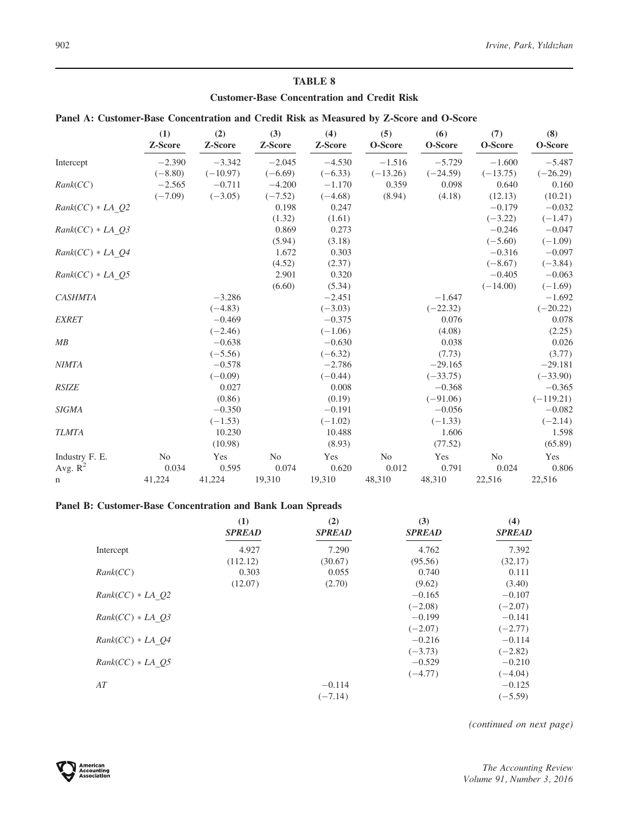Customer-Base Concentration and Credit Risk

# Panel A: Customer-Base Concentration and Credit Risk as Measured by Z-Score and O-Score

|                    | (1)<br>Z-Score | (2)<br>Z-Score | (3)<br>Z-Score | (4)<br>Z-Score | (5)<br>O-Score | (6)<br>O-Score | (7)<br>O-Score | (8)<br>O-Score |
|--------------------|----------------|----------------|----------------|----------------|----------------|----------------|----------------|----------------|
| Intercept          | $-2.390$       | $-3.342$       | $-2.045$       | $-4.530$       | $-1.516$       | $-5.729$       | $-1.600$       | $-5.487$       |
|                    | $(-8.80)$      | $(-10.97)$     | $(-6.69)$      | $(-6.33)$      | $(-13.26)$     | $(-24.59)$     | $(-13.75)$     | $(-26.29)$     |
| Rank(CC)           | $-2.565$       | $-0.711$       | $-4.200$       | $-1.170$       | 0.359          | 0.098          | 0.640          | 0.160          |
|                    | $(-7.09)$      | $(-3.05)$      | $(-7.52)$      | $(-4.68)$      | (8.94)         | (4.18)         | (12.13)        | (10.21)        |
| $Rank(CC) * LA$ Q2 |                |                | 0.198          | 0.247          |                |                | $-0.179$       | $-0.032$       |
|                    |                |                | (1.32)         | (1.61)         |                |                | $(-3.22)$      | $(-1.47)$      |
| $Rank(CC) * LA$ Q3 |                |                | 0.869          | 0.273          |                |                | $-0.246$       | $-0.047$       |
|                    |                |                | (5.94)         | (3.18)         |                |                | $(-5.60)$      | $(-1.09)$      |
| $Rank(CC)*LA$ Q4   |                |                | 1.672          | 0.303          |                |                | $-0.316$       | $-0.097$       |
|                    |                |                | (4.52)         | (2.37)         |                |                | $(-8.67)$      | $(-3.84)$      |
| $Rank(CC) * LA$ Q5 |                |                | 2.901          | 0.320          |                |                | $-0.405$       | $-0.063$       |
|                    |                |                | (6.60)         | (5.34)         |                |                | $(-14.00)$     | $(-1.69)$      |
| CASHMTA            |                | $-3.286$       |                | $-2.451$       |                | $-1.647$       |                | $-1.692$       |
|                    |                | $(-4.83)$      |                | $(-3.03)$      |                | $(-22.32)$     |                | $(-20.22)$     |
| <b>EXRET</b>       |                | $-0.469$       |                | $-0.375$       |                | 0.076          |                | 0.078          |
|                    |                | $(-2.46)$      |                | $(-1.06)$      |                | (4.08)         |                | (2.25)         |
| MB                 |                | $-0.638$       |                | $-0.630$       |                | 0.038          |                | 0.026          |
|                    |                | $(-5.56)$      |                | $(-6.32)$      |                | (7.73)         |                | (3.77)         |
| <b>NIMTA</b>       |                | $-0.578$       |                | $-2.786$       |                | $-29.165$      |                | $-29.181$      |
|                    |                | $(-0.09)$      |                | $(-0.44)$      |                | $(-33.75)$     |                | $(-33.90)$     |
| <b>RSIZE</b>       |                | 0.027          |                | 0.008          |                | $-0.368$       |                | $-0.365$       |
|                    |                | (0.86)         |                | (0.19)         |                | $(-91.06)$     |                | $(-119.21)$    |
| <b>SIGMA</b>       |                | $-0.350$       |                | $-0.191$       |                | $-0.056$       |                | $-0.082$       |
|                    |                | $(-1.53)$      |                | $(-1.02)$      |                | $(-1.33)$      |                | $(-2.14)$      |
| <b>TLMTA</b>       |                | 10.230         |                | 10.488         |                | 1.606          |                | 1.598          |
|                    |                | (10.98)        |                | (8.93)         |                | (77.52)        |                | (65.89)        |
| Industry F. E.     | N <sub>0</sub> | Yes            | No             | Yes            | No             | Yes            | N <sub>o</sub> | Yes            |
| Avg. $R^2$         | 0.034          | 0.595          | 0.074          | 0.620          | 0.012          | 0.791          | 0.024          | 0.806          |
| n                  | 41,224         | 41,224         | 19,310         | 19,310         | 48,310         | 48,310         | 22,516         | 22,516         |

### Panel B: Customer-Base Concentration and Bank Loan Spreads

|                    | (1)<br><b>SPREAD</b> | (2)<br><b>SPREAD</b> | (3)<br><b>SPREAD</b> | (4)<br><b>SPREAD</b> |
|--------------------|----------------------|----------------------|----------------------|----------------------|
| Intercept          | 4.927                | 7.290                | 4.762                | 7.392                |
|                    | (112.12)             | (30.67)              | (95.56)              | (32.17)              |
| Rank(CC)           | 0.303                | 0.055                | 0.740                | 0.111                |
|                    | (12.07)              | (2.70)               | (9.62)               | (3.40)               |
| $Rank(CC)*LA$ Q2   |                      |                      | $-0.165$             | $-0.107$             |
|                    |                      |                      | $(-2.08)$            | $(-2.07)$            |
| $Rank(CC) * LA$ Q3 |                      |                      | $-0.199$             | $-0.141$             |
|                    |                      |                      | $(-2.07)$            | $(-2.77)$            |
| $Rank(CC)*LA$ Q4   |                      |                      | $-0.216$             | $-0.114$             |
|                    |                      |                      | $(-3.73)$            | $(-2.82)$            |
| $Rank(CC)*LA$ Q5   |                      |                      | $-0.529$             | $-0.210$             |
|                    |                      |                      | $(-4.77)$            | $(-4.04)$            |
| AT                 |                      | $-0.114$             |                      | $-0.125$             |
|                    |                      | $(-7.14)$            |                      | $(-5.59)$            |

(continued on next page)

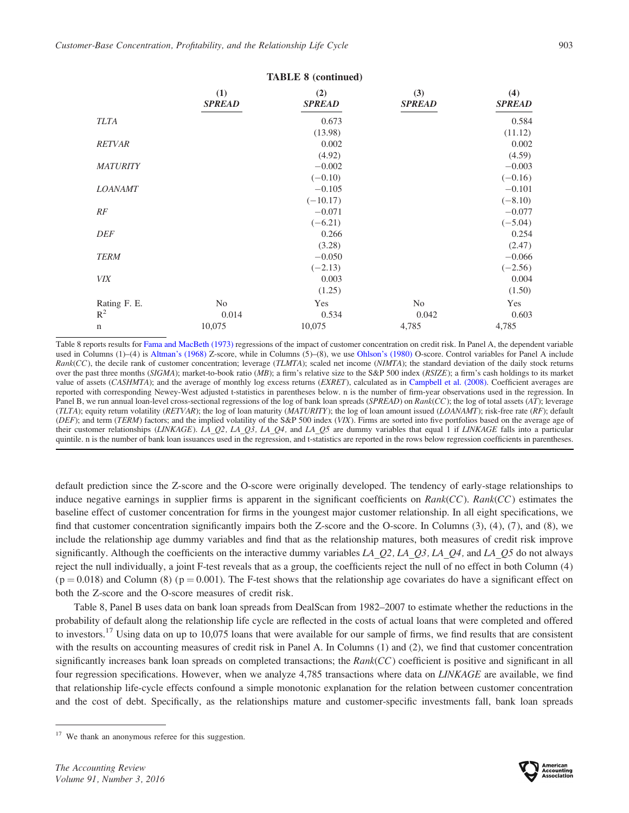| <b>TABLE 8 (continued)</b> |                      |                      |                      |                      |  |  |  |  |
|----------------------------|----------------------|----------------------|----------------------|----------------------|--|--|--|--|
|                            | (1)<br><b>SPREAD</b> | (2)<br><b>SPREAD</b> | (3)<br><b>SPREAD</b> | (4)<br><b>SPREAD</b> |  |  |  |  |
| <b>TLTA</b>                |                      | 0.673                |                      | 0.584                |  |  |  |  |
|                            |                      | (13.98)              |                      | (11.12)              |  |  |  |  |
| <b>RETVAR</b>              |                      | 0.002                |                      | 0.002                |  |  |  |  |
|                            |                      | (4.92)               |                      | (4.59)               |  |  |  |  |
| <b>MATURITY</b>            |                      | $-0.002$             |                      | $-0.003$             |  |  |  |  |
|                            |                      | $(-0.10)$            |                      | $(-0.16)$            |  |  |  |  |
| <b>LOANAMT</b>             |                      | $-0.105$             |                      | $-0.101$             |  |  |  |  |
|                            |                      | $(-10.17)$           |                      | $(-8.10)$            |  |  |  |  |
| RF                         |                      | $-0.071$             |                      | $-0.077$             |  |  |  |  |
|                            |                      | $(-6.21)$            |                      | $(-5.04)$            |  |  |  |  |
| DEF                        |                      | 0.266                |                      | 0.254                |  |  |  |  |
|                            |                      | (3.28)               |                      | (2.47)               |  |  |  |  |
| <b>TERM</b>                |                      | $-0.050$             |                      | $-0.066$             |  |  |  |  |
|                            |                      | $(-2.13)$            |                      | $(-2.56)$            |  |  |  |  |
| <i>VIX</i>                 |                      | 0.003                |                      | 0.004                |  |  |  |  |
|                            |                      | (1.25)               |                      | (1.50)               |  |  |  |  |
| Rating F. E.               | N <sub>o</sub>       | Yes                  | No                   | Yes                  |  |  |  |  |
| $R^2$                      | 0.014                | 0.534                | 0.042                | 0.603                |  |  |  |  |
| $\mathbf n$                | 10,075               | 10,075               | 4,785                | 4,785                |  |  |  |  |

Table 8 reports results for [Fama and MacBeth \(1973\)](#page-23-0) regressions of the impact of customer concentration on credit risk. In Panel A, the dependent variable used in Columns (1)–(4) is [Altman's \(1968\)](#page-22-0) Z-score, while in Columns (5)–(8), we use [Ohlson's \(1980\)](#page-23-0) O-score. Control variables for Panel A include  $Rank(CC)$ , the decile rank of customer concentration; leverage (TLMTA); scaled net income (NIMTA); the standard deviation of the daily stock returns over the past three months (SIGMA); market-to-book ratio (MB); a firm's relative size to the S&P 500 index (RSIZE); a firm's cash holdings to its market value of assets  $(CASHMTA)$ ; and the average of monthly log excess returns  $(EXRET)$ , calculated as in [Campbell et al. \(2008\).](#page-23-0) Coefficient averages are reported with corresponding Newey-West adjusted t-statistics in parentheses below. n is the number of firm-year observations used in the regression. In Panel B, we run annual loan-level cross-sectional regressions of the log of bank loan spreads (SPREAD) on Rank(CC); the log of total assets (AT); leverage (TLTA); equity return volatility (RETVAR); the log of loan maturity (MATURITY); the log of loan amount issued (LOANAMT); risk-free rate (RF); default (*DEF*); and term (*TERM*) factors; and the implied volatility of the S&P 500 index (*VIX*). Firms are sorted into five portfolios based on the average age of their customer relationships (LINKAGE). LA\_Q2, LA\_Q3, LA\_Q4, and LA\_Q5 are dummy variables that equal 1 if LINKAGE falls into a particular quintile. n is the number of bank loan issuances used in the regression, and t-statistics are reported in the rows below regression coefficients in parentheses.

default prediction since the Z-score and the O-score were originally developed. The tendency of early-stage relationships to induce negative earnings in supplier firms is apparent in the significant coefficients on  $Rank(CC)$  estimates the baseline effect of customer concentration for firms in the youngest major customer relationship. In all eight specifications, we find that customer concentration significantly impairs both the Z-score and the O-score. In Columns (3), (4), (7), and (8), we include the relationship age dummy variables and find that as the relationship matures, both measures of credit risk improve significantly. Although the coefficients on the interactive dummy variables LA\_Q2, LA\_Q3, LA\_Q4, and LA\_Q5 do not always reject the null individually, a joint F-test reveals that as a group, the coefficients reject the null of no effect in both Column (4)  $(p = 0.018)$  and Column (8) ( $p = 0.001$ ). The F-test shows that the relationship age covariates do have a significant effect on both the Z-score and the O-score measures of credit risk.

Table 8, Panel B uses data on bank loan spreads from DealScan from 1982–2007 to estimate whether the reductions in the probability of default along the relationship life cycle are reflected in the costs of actual loans that were completed and offered to investors.<sup>17</sup> Using data on up to 10,075 loans that were available for our sample of firms, we find results that are consistent with the results on accounting measures of credit risk in Panel A. In Columns (1) and (2), we find that customer concentration significantly increases bank loan spreads on completed transactions; the Rank(CC) coefficient is positive and significant in all four regression specifications. However, when we analyze 4,785 transactions where data on LINKAGE are available, we find that relationship life-cycle effects confound a simple monotonic explanation for the relation between customer concentration and the cost of debt. Specifically, as the relationships mature and customer-specific investments fall, bank loan spreads



<sup>&</sup>lt;sup>17</sup> We thank an anonymous referee for this suggestion.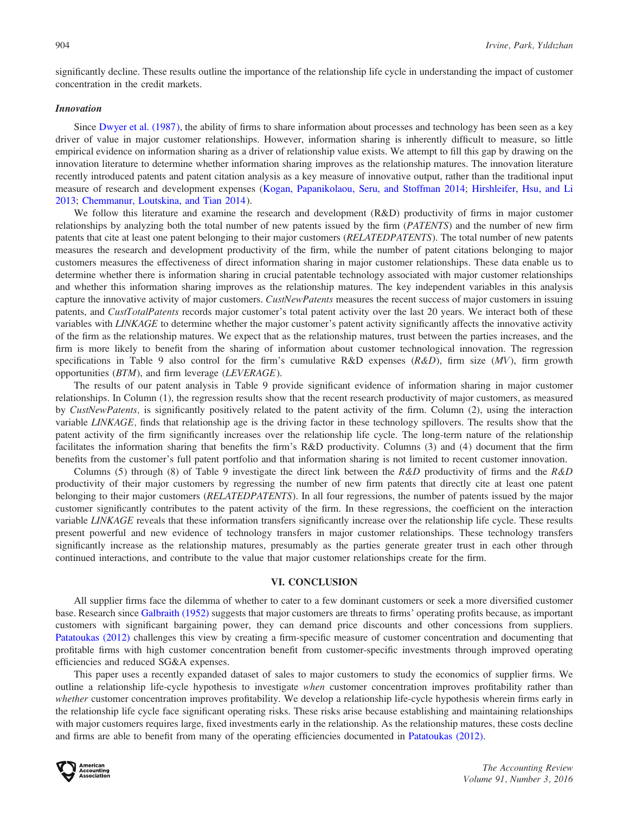significantly decline. These results outline the importance of the relationship life cycle in understanding the impact of customer concentration in the credit markets.

#### Innovation

Since [Dwyer et al. \(1987\)](#page-23-0), the ability of firms to share information about processes and technology has been seen as a key driver of value in major customer relationships. However, information sharing is inherently difficult to measure, so little empirical evidence on information sharing as a driver of relationship value exists. We attempt to fill this gap by drawing on the innovation literature to determine whether information sharing improves as the relationship matures. The innovation literature recently introduced patents and patent citation analysis as a key measure of innovative output, rather than the traditional input measure of research and development expenses ([Kogan, Papanikolaou, Seru, and Stoffman 2014;](#page-23-0) [Hirshleifer, Hsu, and Li](#page-23-0) [2013;](#page-23-0) [Chemmanur, Loutskina, and Tian 2014](#page-23-0)).

We follow this literature and examine the research and development (R&D) productivity of firms in major customer relationships by analyzing both the total number of new patents issued by the firm (PATENTS) and the number of new firm patents that cite at least one patent belonging to their major customers (RELATEDPATENTS). The total number of new patents measures the research and development productivity of the firm, while the number of patent citations belonging to major customers measures the effectiveness of direct information sharing in major customer relationships. These data enable us to determine whether there is information sharing in crucial patentable technology associated with major customer relationships and whether this information sharing improves as the relationship matures. The key independent variables in this analysis capture the innovative activity of major customers. CustNewPatents measures the recent success of major customers in issuing patents, and *CustTotalPatents* records major customer's total patent activity over the last 20 years. We interact both of these variables with LINKAGE to determine whether the major customer's patent activity significantly affects the innovative activity of the firm as the relationship matures. We expect that as the relationship matures, trust between the parties increases, and the firm is more likely to benefit from the sharing of information about customer technological innovation. The regression specifications in Table 9 also control for the firm's cumulative R&D expenses  $(R&D)$ , firm size  $(MV)$ , firm growth opportunities (BTM), and firm leverage (LEVERAGE).

The results of our patent analysis in Table 9 provide significant evidence of information sharing in major customer relationships. In Column (1), the regression results show that the recent research productivity of major customers, as measured by CustNewPatents, is significantly positively related to the patent activity of the firm. Column (2), using the interaction variable LINKAGE, finds that relationship age is the driving factor in these technology spillovers. The results show that the patent activity of the firm significantly increases over the relationship life cycle. The long-term nature of the relationship facilitates the information sharing that benefits the firm's R&D productivity. Columns (3) and (4) document that the firm benefits from the customer's full patent portfolio and that information sharing is not limited to recent customer innovation.

Columns (5) through (8) of Table 9 investigate the direct link between the  $R&D$  productivity of firms and the  $R&D$ productivity of their major customers by regressing the number of new firm patents that directly cite at least one patent belonging to their major customers (RELATEDPATENTS). In all four regressions, the number of patents issued by the major customer significantly contributes to the patent activity of the firm. In these regressions, the coefficient on the interaction variable LINKAGE reveals that these information transfers significantly increase over the relationship life cycle. These results present powerful and new evidence of technology transfers in major customer relationships. These technology transfers significantly increase as the relationship matures, presumably as the parties generate greater trust in each other through continued interactions, and contribute to the value that major customer relationships create for the firm.

#### VI. CONCLUSION

All supplier firms face the dilemma of whether to cater to a few dominant customers or seek a more diversified customer base. Research since [Galbraith \(1952\)](#page-23-0) suggests that major customers are threats to firms' operating profits because, as important customers with significant bargaining power, they can demand price discounts and other concessions from suppliers. [Patatoukas \(2012\)](#page-23-0) challenges this view by creating a firm-specific measure of customer concentration and documenting that profitable firms with high customer concentration benefit from customer-specific investments through improved operating efficiencies and reduced SG&A expenses.

This paper uses a recently expanded dataset of sales to major customers to study the economics of supplier firms. We outline a relationship life-cycle hypothesis to investigate when customer concentration improves profitability rather than whether customer concentration improves profitability. We develop a relationship life-cycle hypothesis wherein firms early in the relationship life cycle face significant operating risks. These risks arise because establishing and maintaining relationships with major customers requires large, fixed investments early in the relationship. As the relationship matures, these costs decline and firms are able to benefit from many of the operating efficiencies documented in [Patatoukas \(2012\)](#page-23-0).

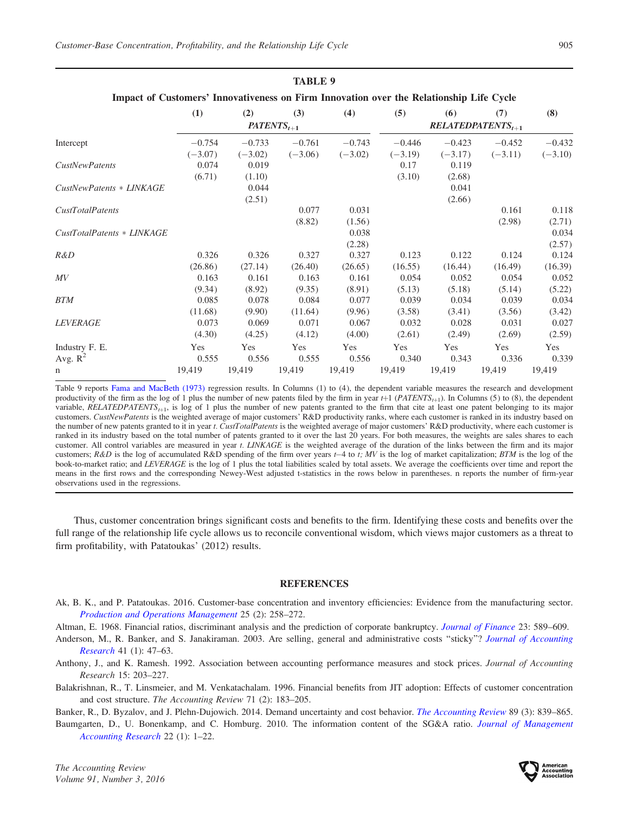<span id="page-22-0"></span>

| Impact of Customers' Innovativeness on Firm Innovation over the Relationship Life Cycle |           |           |                        |           |           |           |                               |           |  |
|-----------------------------------------------------------------------------------------|-----------|-----------|------------------------|-----------|-----------|-----------|-------------------------------|-----------|--|
|                                                                                         | (1)       | (2)       | (3)<br>$PATENTS_{t+1}$ | (4)       | (5)       | (6)       | (7)<br>$RELATEDPATENTS_{t+1}$ | (8)       |  |
| Intercept                                                                               | $-0.754$  | $-0.733$  | $-0.761$               | $-0.743$  | $-0.446$  | $-0.423$  | $-0.452$                      | $-0.432$  |  |
|                                                                                         | $(-3.07)$ | $(-3.02)$ | $(-3.06)$              | $(-3.02)$ | $(-3.19)$ | $(-3.17)$ | $(-3.11)$                     | $(-3.10)$ |  |
| <b>CustNewPatents</b>                                                                   | 0.074     | 0.019     |                        |           | 0.17      | 0.119     |                               |           |  |
|                                                                                         | (6.71)    | (1.10)    |                        |           | (3.10)    | (2.68)    |                               |           |  |
| CustNewPatents * LINKAGE                                                                |           | 0.044     |                        |           |           | 0.041     |                               |           |  |
|                                                                                         |           | (2.51)    |                        |           |           | (2.66)    |                               |           |  |
| CustTotalPatents                                                                        |           |           | 0.077                  | 0.031     |           |           | 0.161                         | 0.118     |  |
|                                                                                         |           |           | (8.82)                 | (1.56)    |           |           | (2.98)                        | (2.71)    |  |
| CustTotalPatents * LINKAGE                                                              |           |           |                        | 0.038     |           |           |                               | 0.034     |  |
|                                                                                         |           |           |                        | (2.28)    |           |           |                               | (2.57)    |  |
| R&D                                                                                     | 0.326     | 0.326     | 0.327                  | 0.327     | 0.123     | 0.122     | 0.124                         | 0.124     |  |
|                                                                                         | (26.86)   | (27.14)   | (26.40)                | (26.65)   | (16.55)   | (16.44)   | (16.49)                       | (16.39)   |  |
| MV                                                                                      | 0.163     | 0.161     | 0.163                  | 0.161     | 0.054     | 0.052     | 0.054                         | 0.052     |  |
|                                                                                         | (9.34)    | (8.92)    | (9.35)                 | (8.91)    | (5.13)    | (5.18)    | (5.14)                        | (5.22)    |  |
| <b>BTM</b>                                                                              | 0.085     | 0.078     | 0.084                  | 0.077     | 0.039     | 0.034     | 0.039                         | 0.034     |  |
|                                                                                         | (11.68)   | (9.90)    | (11.64)                | (9.96)    | (3.58)    | (3.41)    | (3.56)                        | (3.42)    |  |
| <b>LEVERAGE</b>                                                                         | 0.073     | 0.069     | 0.071                  | 0.067     | 0.032     | 0.028     | 0.031                         | 0.027     |  |
|                                                                                         | (4.30)    | (4.25)    | (4.12)                 | (4.00)    | (2.61)    | (2.49)    | (2.69)                        | (2.59)    |  |
| Industry F. E.                                                                          | Yes       | Yes       | Yes                    | Yes       | Yes       | Yes       | Yes                           | Yes       |  |
| Avg. $R^2$                                                                              | 0.555     | 0.556     | 0.555                  | 0.556     | 0.340     | 0.343     | 0.336                         | 0.339     |  |
| n                                                                                       | 19,419    | 19,419    | 19,419                 | 19,419    | 19,419    | 19,419    | 19,419                        | 19,419    |  |

Table 9 reports [Fama and MacBeth \(1973\)](#page-23-0) regression results. In Columns (1) to (4), the dependent variable measures the research and development productivity of the firm as the log of 1 plus the number of new patents filed by the firm in year  $t+1$  (PATENTS<sub>t+1</sub>). In Columns (5) to (8), the dependent variable, RELATEDPATENTS<sub>t+1</sub>, is log of 1 plus the number of new patents granted to the firm that cite at least one patent belonging to its major customers. CustNewPatents is the weighted average of major customers' R&D productivity ranks, where each customer is ranked in its industry based on the number of new patents granted to it in year t. CustTotalPatents is the weighted average of major customers' R&D productivity, where each customer is ranked in its industry based on the total number of patents granted to it over the last 20 years. For both measures, the weights are sales shares to each customer. All control variables are measured in year t. LINKAGE is the weighted average of the duration of the links between the firm and its major customers;  $R&D$  is the log of accumulated R&D spending of the firm over years  $t-4$  to t; MV is the log of market capitalization; BTM is the log of the book-to-market ratio; and LEVERAGE is the log of 1 plus the total liabilities scaled by total assets. We average the coefficients over time and report the means in the first rows and the corresponding Newey-West adjusted t-statistics in the rows below in parentheses. n reports the number of firm-year observations used in the regressions.

Thus, customer concentration brings significant costs and benefits to the firm. Identifying these costs and benefits over the full range of the relationship life cycle allows us to reconcile conventional wisdom, which views major customers as a threat to firm profitability, with Patatoukas' (2012) results.

#### **REFERENCES**

Ak, B. K., and P. Patatoukas. 2016. Customer-base concentration and inventory efficiencies: Evidence from the manufacturing sector. [Production and Operations Management](dx.doi.org/10.1111/poms.12417) 25 (2): 258–272.

Altman, E. 1968. Financial ratios, discriminant analysis and the prediction of corporate bankruptcy. [Journal of Finance](dx.doi.org/10.1111/j.1540-6261.1968.tb00843.x) 23: 589–609.

- Anderson, M., R. Banker, and S. Janakiraman. 2003. Are selling, general and administrative costs "sticky"? [Journal of Accounting](dx.doi.org/10.1111/1475-679X.00095) [Research](dx.doi.org/10.1111/1475-679X.00095) 41 (1): 47–63.
- Anthony, J., and K. Ramesh. 1992. Association between accounting performance measures and stock prices. Journal of Accounting Research 15: 203–227.
- Balakrishnan, R., T. Linsmeier, and M. Venkatachalam. 1996. Financial benefits from JIT adoption: Effects of customer concentration and cost structure. The Accounting Review 71 (2): 183–205.

Banker, R., D. Byzalov, and J. Plehn-Dujowich. 2014. Demand uncertainty and cost behavior. [The Accounting Review](dx.doi.org/10.2308/accr-50661) 89 (3): 839–865.

Baumgarten, D., U. Bonenkamp, and C. Homburg. 2010. The information content of the SG&A ratio. [Journal of Management](dx.doi.org/10.2308/jmar.2010.22.1.1) [Accounting Research](dx.doi.org/10.2308/jmar.2010.22.1.1) 22 (1): 1–22.